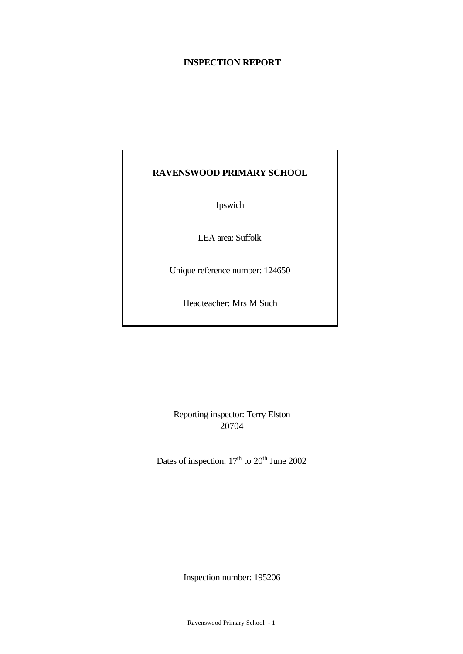# **INSPECTION REPORT**

# **RAVENSWOOD PRIMARY SCHOOL**

Ipswich

LEA area: Suffolk

Unique reference number: 124650

Headteacher: Mrs M Such

Reporting inspector: Terry Elston 20704

Dates of inspection:  $17<sup>th</sup>$  to  $20<sup>th</sup>$  June 2002

Inspection number: 195206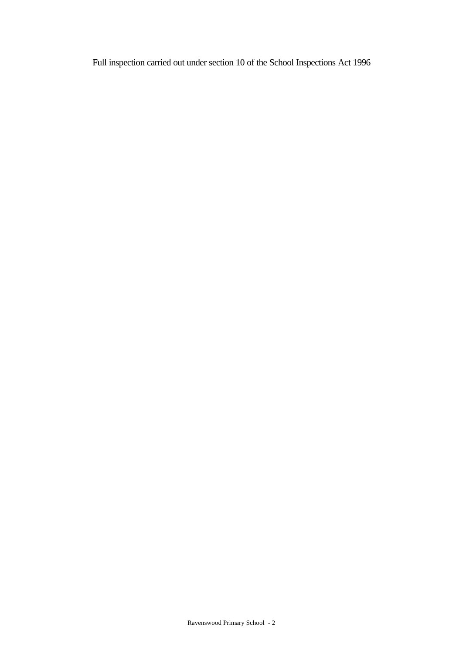Full inspection carried out under section 10 of the School Inspections Act 1996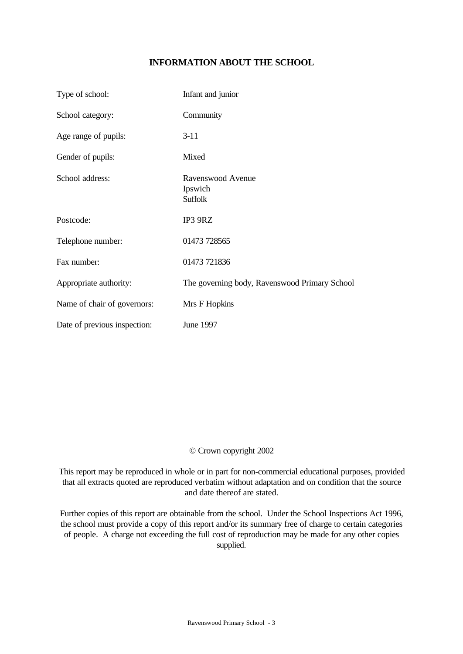# **INFORMATION ABOUT THE SCHOOL**

| Type of school:              | Infant and junior                             |
|------------------------------|-----------------------------------------------|
| School category:             | Community                                     |
| Age range of pupils:         | $3-11$                                        |
| Gender of pupils:            | Mixed                                         |
| School address:              | Ravenswood Avenue<br>Ipswich<br>Suffolk       |
| Postcode:                    | IP3 9RZ                                       |
| Telephone number:            | 01473 728565                                  |
| Fax number:                  | 01473 721836                                  |
| Appropriate authority:       | The governing body, Ravenswood Primary School |
| Name of chair of governors:  | Mrs F Hopkins                                 |
| Date of previous inspection: | June 1997                                     |

# © Crown copyright 2002

This report may be reproduced in whole or in part for non-commercial educational purposes, provided that all extracts quoted are reproduced verbatim without adaptation and on condition that the source and date thereof are stated.

Further copies of this report are obtainable from the school. Under the School Inspections Act 1996, the school must provide a copy of this report and/or its summary free of charge to certain categories of people. A charge not exceeding the full cost of reproduction may be made for any other copies supplied.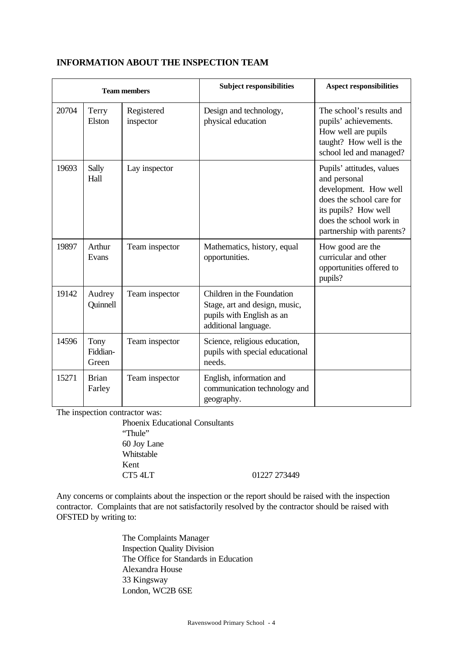| <b>Team members</b> |                           |                         | <b>Subject responsibilities</b>                                                                                  | <b>Aspect responsibilities</b>                                                                                                                                                 |  |
|---------------------|---------------------------|-------------------------|------------------------------------------------------------------------------------------------------------------|--------------------------------------------------------------------------------------------------------------------------------------------------------------------------------|--|
| 20704               | Terry<br>Elston           | Registered<br>inspector | Design and technology,<br>physical education                                                                     | The school's results and<br>pupils' achievements.<br>How well are pupils<br>taught? How well is the<br>school led and managed?                                                 |  |
| 19693               | Sally<br>Hall             | Lay inspector           |                                                                                                                  | Pupils' attitudes, values<br>and personal<br>development. How well<br>does the school care for<br>its pupils? How well<br>does the school work in<br>partnership with parents? |  |
| 19897               | Arthur<br>Evans           | Team inspector          | Mathematics, history, equal<br>opportunities.                                                                    | How good are the<br>curricular and other<br>opportunities offered to<br>pupils?                                                                                                |  |
| 19142               | Audrey<br>Quinnell        | Team inspector          | Children in the Foundation<br>Stage, art and design, music,<br>pupils with English as an<br>additional language. |                                                                                                                                                                                |  |
| 14596               | Tony<br>Fiddian-<br>Green | Team inspector          | Science, religious education,<br>pupils with special educational<br>needs.                                       |                                                                                                                                                                                |  |
| 15271               | <b>Brian</b><br>Farley    | Team inspector          | English, information and<br>communication technology and<br>geography.                                           |                                                                                                                                                                                |  |

The inspection contractor was:

Phoenix Educational Consultants "Thule" 60 Joy Lane Whitstable Kent CT5 4LT 01227 273449

Any concerns or complaints about the inspection or the report should be raised with the inspection contractor. Complaints that are not satisfactorily resolved by the contractor should be raised with OFSTED by writing to:

> The Complaints Manager Inspection Quality Division The Office for Standards in Education Alexandra House 33 Kingsway London, WC2B 6SE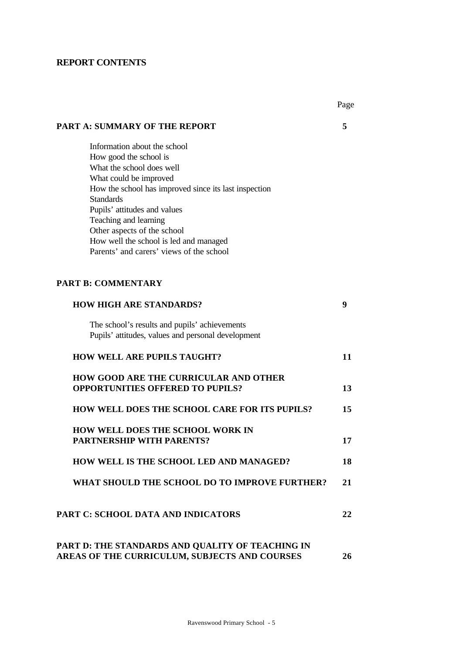# **REPORT CONTENTS**

|                                                                           | Page |
|---------------------------------------------------------------------------|------|
| <b>PART A: SUMMARY OF THE REPORT</b>                                      | 5    |
| Information about the school                                              |      |
| How good the school is                                                    |      |
| What the school does well                                                 |      |
| What could be improved                                                    |      |
| How the school has improved since its last inspection<br><b>Standards</b> |      |
| Pupils' attitudes and values                                              |      |
| Teaching and learning                                                     |      |
| Other aspects of the school                                               |      |
| How well the school is led and managed                                    |      |
| Parents' and carers' views of the school                                  |      |
|                                                                           |      |
| <b>PART B: COMMENTARY</b>                                                 |      |
| <b>HOW HIGH ARE STANDARDS?</b>                                            | 9    |
| The school's results and pupils' achievements                             |      |
| Pupils' attitudes, values and personal development                        |      |
| <b>HOW WELL ARE PUPILS TAUGHT?</b>                                        | 11   |
| <b>HOW GOOD ARE THE CURRICULAR AND OTHER</b>                              |      |
| <b>OPPORTUNITIES OFFERED TO PUPILS?</b>                                   | 13   |
| <b>HOW WELL DOES THE SCHOOL CARE FOR ITS PUPILS?</b>                      | 15   |
| <b>HOW WELL DOES THE SCHOOL WORK IN</b>                                   |      |
| <b>PARTNERSHIP WITH PARENTS?</b>                                          | 17   |
| HOW WELL IS THE SCHOOL LED AND MANAGED?                                   | 18   |
| WHAT SHOULD THE SCHOOL DO TO IMPROVE FURTHER?                             | 21   |
| <b>PART C: SCHOOL DATA AND INDICATORS</b>                                 | 22   |
| PART D: THE STANDARDS AND QUALITY OF TEACHING IN                          |      |
| AREAS OF THE CURRICULUM, SUBJECTS AND COURSES                             | 26   |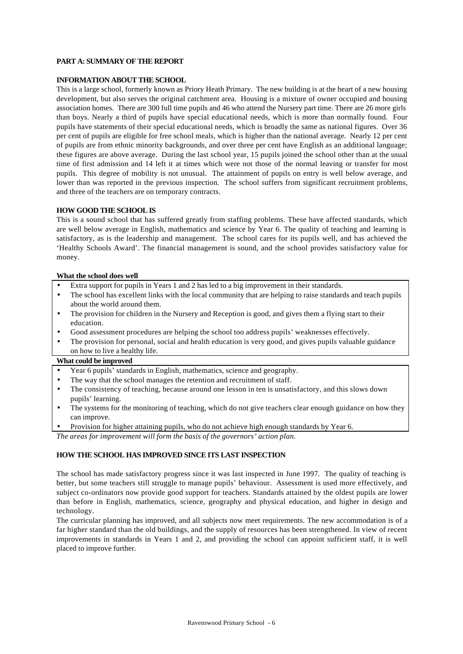#### **PART A: SUMMARY OF THE REPORT**

#### **INFORMATION ABOUT THE SCHOOL**

This is a large school, formerly known as Priory Heath Primary. The new building is at the heart of a new housing development, but also serves the original catchment area. Housing is a mixture of owner occupied and housing association homes. There are 300 full time pupils and 46 who attend the Nursery part time. There are 26 more girls than boys. Nearly a third of pupils have special educational needs, which is more than normally found. Four pupils have statements of their special educational needs, which is broadly the same as national figures. Over 36 per cent of pupils are eligible for free school meals, which is higher than the national average. Nearly 12 per cent of pupils are from ethnic minority backgrounds, and over three per cent have English as an additional language; these figures are above average. During the last school year, 15 pupils joined the school other than at the usual time of first admission and 14 left it at times which were not those of the normal leaving or transfer for most pupils. This degree of mobility is not unusual. The attainment of pupils on entry is well below average, and lower than was reported in the previous inspection. The school suffers from significant recruitment problems, and three of the teachers are on temporary contracts.

#### **HOW GOOD THE SCHOOL IS**

This is a sound school that has suffered greatly from staffing problems. These have affected standards, which are well below average in English, mathematics and science by Year 6. The quality of teaching and learning is satisfactory, as is the leadership and management. The school cares for its pupils well, and has achieved the 'Healthy Schools Award'. The financial management is sound, and the school provides satisfactory value for money.

#### **What the school does well**

- Extra support for pupils in Years 1 and 2 has led to a big improvement in their standards.
- The school has excellent links with the local community that are helping to raise standards and teach pupils about the world around them.
- The provision for children in the Nursery and Reception is good, and gives them a flying start to their education.
- Good assessment procedures are helping the school too address pupils' weaknesses effectively.
- The provision for personal, social and health education is very good, and gives pupils valuable guidance on how to live a healthy life.

#### **What could be improved**

- Year 6 pupils' standards in English, mathematics, science and geography.
- The way that the school manages the retention and recruitment of staff.
- The consistency of teaching, because around one lesson in ten is unsatisfactory, and this slows down pupils' learning.
- The systems for the monitoring of teaching, which do not give teachers clear enough guidance on how they can improve.
- Provision for higher attaining pupils, who do not achieve high enough standards by Year 6.

*The areas for improvement will form the basis of the governors' action plan.*

#### **HOW THE SCHOOL HAS IMPROVED SINCE ITS LAST INSPECTION**

The school has made satisfactory progress since it was last inspected in June 1997. The quality of teaching is better, but some teachers still struggle to manage pupils' behaviour. Assessment is used more effectively, and subject co-ordinators now provide good support for teachers. Standards attained by the oldest pupils are lower than before in English, mathematics, science, geography and physical education, and higher in design and technology.

The curricular planning has improved, and all subjects now meet requirements. The new accommodation is of a far higher standard than the old buildings, and the supply of resources has been strengthened. In view of recent improvements in standards in Years 1 and 2, and providing the school can appoint sufficient staff, it is well placed to improve further.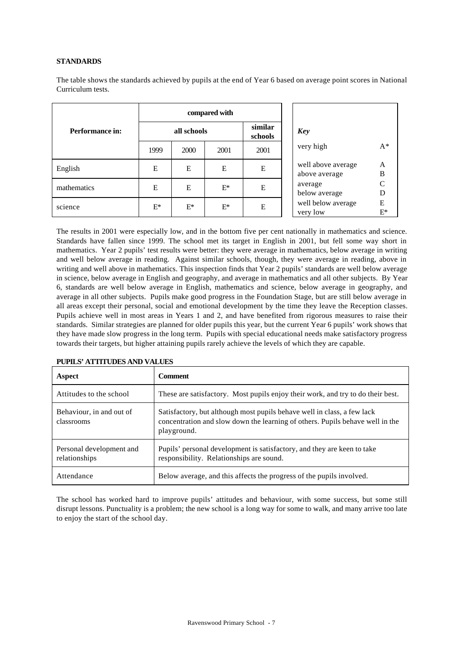#### **STANDARDS**

The table shows the standards achieved by pupils at the end of Year 6 based on average point scores in National Curriculum tests.

|                 | compared with |       |       |                    |                                     |            |
|-----------------|---------------|-------|-------|--------------------|-------------------------------------|------------|
| Performance in: | all schools   |       |       | similar<br>schools | <b>Key</b>                          |            |
|                 | 1999          | 2000  | 2001  | 2001               | very high                           | $A^*$      |
| English         | E             | E     | E     | E                  | well above average<br>above average | A<br>B     |
| mathematics     | E             | E     | $E^*$ | E                  | average<br>below average            | C<br>D     |
| science         | $E^*$         | $E^*$ | $E^*$ | E                  | well below average<br>very low      | E<br>$E^*$ |

The results in 2001 were especially low, and in the bottom five per cent nationally in mathematics and science. Standards have fallen since 1999. The school met its target in English in 2001, but fell some way short in mathematics. Year 2 pupils' test results were better: they were average in mathematics, below average in writing and well below average in reading. Against similar schools, though, they were average in reading, above in writing and well above in mathematics. This inspection finds that Year 2 pupils' standards are well below average in science, below average in English and geography, and average in mathematics and all other subjects. By Year 6, standards are well below average in English, mathematics and science, below average in geography, and average in all other subjects. Pupils make good progress in the Foundation Stage, but are still below average in all areas except their personal, social and emotional development by the time they leave the Reception classes. Pupils achieve well in most areas in Years 1 and 2, and have benefited from rigorous measures to raise their standards. Similar strategies are planned for older pupils this year, but the current Year 6 pupils' work shows that they have made slow progress in the long term. Pupils with special educational needs make satisfactory progress towards their targets, but higher attaining pupils rarely achieve the levels of which they are capable.

| Aspect                                    | <b>Comment</b>                                                                                                                                                          |
|-------------------------------------------|-------------------------------------------------------------------------------------------------------------------------------------------------------------------------|
| Attitudes to the school                   | These are satisfactory. Most pupils enjoy their work, and try to do their best.                                                                                         |
| Behaviour, in and out of<br>classrooms    | Satisfactory, but although most pupils behave well in class, a few lack<br>concentration and slow down the learning of others. Pupils behave well in the<br>playground. |
| Personal development and<br>relationships | Pupils' personal development is satisfactory, and they are keen to take<br>responsibility. Relationships are sound.                                                     |
| Attendance                                | Below average, and this affects the progress of the pupils involved.                                                                                                    |

#### **PUPILS' ATTITUDES AND VALUES**

The school has worked hard to improve pupils' attitudes and behaviour, with some success, but some still disrupt lessons. Punctuality is a problem; the new school is a long way for some to walk, and many arrive too late to enjoy the start of the school day.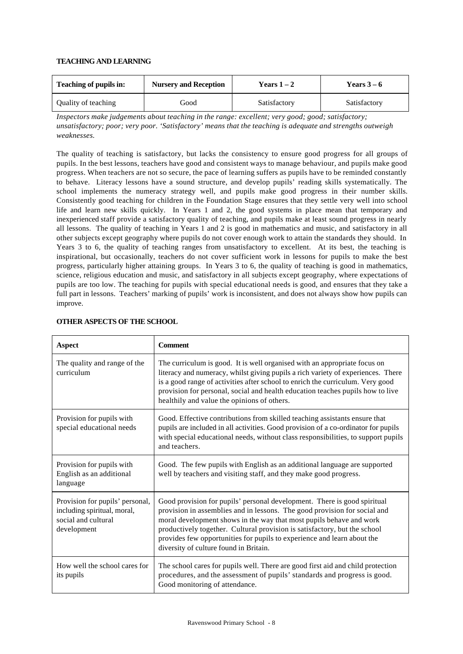#### **TEACHING AND LEARNING**

| <b>Nursery and Reception</b><br>Teaching of pupils in: |      | Years $1-2$  | Years $3-6$  |  |
|--------------------------------------------------------|------|--------------|--------------|--|
| Quality of teaching                                    | Good | Satisfactory | Satisfactory |  |

*Inspectors make judgements about teaching in the range: excellent; very good; good; satisfactory; unsatisfactory; poor; very poor. 'Satisfactory' means that the teaching is adequate and strengths outweigh weaknesses.*

The quality of teaching is satisfactory, but lacks the consistency to ensure good progress for all groups of pupils. In the best lessons, teachers have good and consistent ways to manage behaviour, and pupils make good progress. When teachers are not so secure, the pace of learning suffers as pupils have to be reminded constantly to behave. Literacy lessons have a sound structure, and develop pupils' reading skills systematically. The school implements the numeracy strategy well, and pupils make good progress in their number skills. Consistently good teaching for children in the Foundation Stage ensures that they settle very well into school life and learn new skills quickly. In Years 1 and 2, the good systems in place mean that temporary and inexperienced staff provide a satisfactory quality of teaching, and pupils make at least sound progress in nearly all lessons. The quality of teaching in Years 1 and 2 is good in mathematics and music, and satisfactory in all other subjects except geography where pupils do not cover enough work to attain the standards they should. In Years 3 to 6, the quality of teaching ranges from unsatisfactory to excellent. At its best, the teaching is inspirational, but occasionally, teachers do not cover sufficient work in lessons for pupils to make the best progress, particularly higher attaining groups. In Years 3 to 6, the quality of teaching is good in mathematics, science, religious education and music, and satisfactory in all subjects except geography, where expectations of pupils are too low. The teaching for pupils with special educational needs is good, and ensures that they take a full part in lessons. Teachers' marking of pupils' work is inconsistent, and does not always show how pupils can improve.

| Aspect                                                                                               | <b>Comment</b>                                                                                                                                                                                                                                                                                                                                                                                                                 |
|------------------------------------------------------------------------------------------------------|--------------------------------------------------------------------------------------------------------------------------------------------------------------------------------------------------------------------------------------------------------------------------------------------------------------------------------------------------------------------------------------------------------------------------------|
| The quality and range of the<br>curriculum                                                           | The curriculum is good. It is well organised with an appropriate focus on<br>literacy and numeracy, whilst giving pupils a rich variety of experiences. There<br>is a good range of activities after school to enrich the curriculum. Very good<br>provision for personal, social and health education teaches pupils how to live<br>healthily and value the opinions of others.                                               |
| Provision for pupils with<br>special educational needs                                               | Good. Effective contributions from skilled teaching assistants ensure that<br>pupils are included in all activities. Good provision of a co-ordinator for pupils<br>with special educational needs, without class responsibilities, to support pupils<br>and teachers.                                                                                                                                                         |
| Provision for pupils with<br>English as an additional<br>language                                    | Good. The few pupils with English as an additional language are supported<br>well by teachers and visiting staff, and they make good progress.                                                                                                                                                                                                                                                                                 |
| Provision for pupils' personal,<br>including spiritual, moral,<br>social and cultural<br>development | Good provision for pupils' personal development. There is good spiritual<br>provision in assemblies and in lessons. The good provision for social and<br>moral development shows in the way that most pupils behave and work<br>productively together. Cultural provision is satisfactory, but the school<br>provides few opportunities for pupils to experience and learn about the<br>diversity of culture found in Britain. |
| How well the school cares for<br>its pupils                                                          | The school cares for pupils well. There are good first aid and child protection<br>procedures, and the assessment of pupils' standards and progress is good.<br>Good monitoring of attendance.                                                                                                                                                                                                                                 |

## **OTHER ASPECTS OF THE SCHOOL**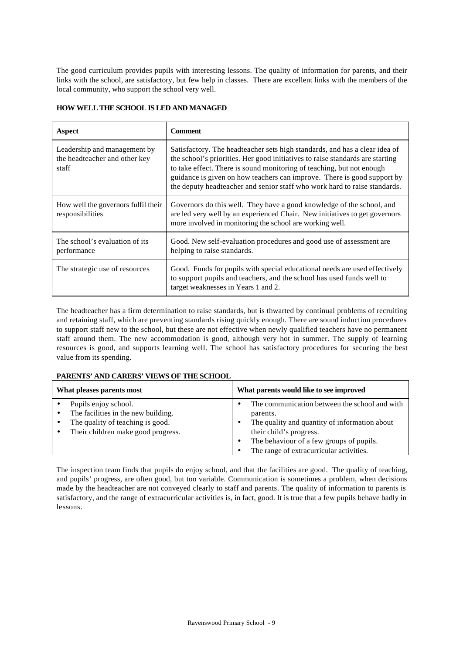The good curriculum provides pupils with interesting lessons. The quality of information for parents, and their links with the school, are satisfactory, but few help in classes. There are excellent links with the members of the local community, who support the school very well.

| Aspect                                                                 | <b>Comment</b>                                                                                                                                                                                                                                                                                                                                                                               |
|------------------------------------------------------------------------|----------------------------------------------------------------------------------------------------------------------------------------------------------------------------------------------------------------------------------------------------------------------------------------------------------------------------------------------------------------------------------------------|
| Leadership and management by<br>the headteacher and other key<br>staff | Satisfactory. The headteacher sets high standards, and has a clear idea of<br>the school's priorities. Her good initiatives to raise standards are starting<br>to take effect. There is sound monitoring of teaching, but not enough<br>guidance is given on how teachers can improve. There is good support by<br>the deputy headteacher and senior staff who work hard to raise standards. |
| How well the governors fulfil their<br>responsibilities                | Governors do this well. They have a good knowledge of the school, and<br>are led very well by an experienced Chair. New initiatives to get governors<br>more involved in monitoring the school are working well.                                                                                                                                                                             |
| The school's evaluation of its<br>performance                          | Good. New self-evaluation procedures and good use of assessment are<br>helping to raise standards.                                                                                                                                                                                                                                                                                           |
| The strategic use of resources                                         | Good. Funds for pupils with special educational needs are used effectively<br>to support pupils and teachers, and the school has used funds well to<br>target weaknesses in Years 1 and 2.                                                                                                                                                                                                   |

**HOW WELL THE SCHOOL IS LED AND MANAGED**

The headteacher has a firm determination to raise standards, but is thwarted by continual problems of recruiting and retaining staff, which are preventing standards rising quickly enough. There are sound induction procedures to support staff new to the school, but these are not effective when newly qualified teachers have no permanent staff around them. The new accommodation is good, although very hot in summer. The supply of learning resources is good, and supports learning well. The school has satisfactory procedures for securing the best value from its spending.

#### **PARENTS' AND CARERS' VIEWS OF THE SCHOOL**

| What pleases parents most                                                                                                             | What parents would like to see improved                                                                                                                                                                                       |  |  |
|---------------------------------------------------------------------------------------------------------------------------------------|-------------------------------------------------------------------------------------------------------------------------------------------------------------------------------------------------------------------------------|--|--|
| Pupils enjoy school.<br>The facilities in the new building.<br>The quality of teaching is good.<br>Their children make good progress. | The communication between the school and with<br>parents.<br>The quality and quantity of information about<br>their child's progress.<br>The behaviour of a few groups of pupils.<br>The range of extracurricular activities. |  |  |

The inspection team finds that pupils do enjoy school, and that the facilities are good. The quality of teaching, and pupils' progress, are often good, but too variable. Communication is sometimes a problem, when decisions made by the headteacher are not conveyed clearly to staff and parents. The quality of information to parents is satisfactory, and the range of extracurricular activities is, in fact, good. It is true that a few pupils behave badly in lessons.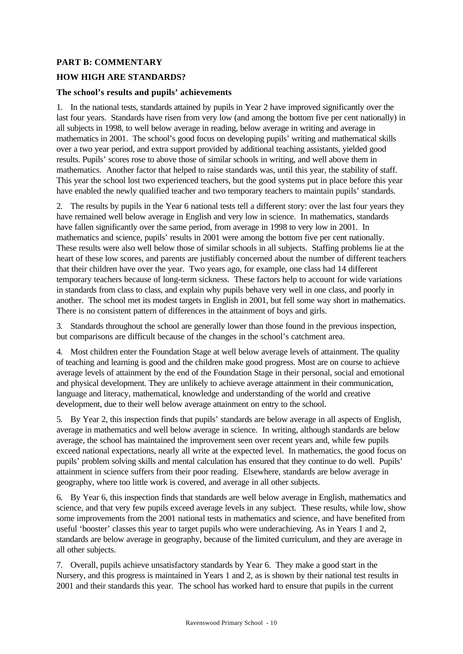# **PART B: COMMENTARY**

# **HOW HIGH ARE STANDARDS?**

## **The school's results and pupils' achievements**

1. In the national tests, standards attained by pupils in Year 2 have improved significantly over the last four years. Standards have risen from very low (and among the bottom five per cent nationally) in all subjects in 1998, to well below average in reading, below average in writing and average in mathematics in 2001. The school's good focus on developing pupils' writing and mathematical skills over a two year period, and extra support provided by additional teaching assistants, yielded good results. Pupils' scores rose to above those of similar schools in writing, and well above them in mathematics. Another factor that helped to raise standards was, until this year, the stability of staff. This year the school lost two experienced teachers, but the good systems put in place before this year have enabled the newly qualified teacher and two temporary teachers to maintain pupils' standards.

2. The results by pupils in the Year 6 national tests tell a different story: over the last four years they have remained well below average in English and very low in science. In mathematics, standards have fallen significantly over the same period, from average in 1998 to very low in 2001. In mathematics and science, pupils' results in 2001 were among the bottom five per cent nationally. These results were also well below those of similar schools in all subjects. Staffing problems lie at the heart of these low scores, and parents are justifiably concerned about the number of different teachers that their children have over the year. Two years ago, for example, one class had 14 different temporary teachers because of long-term sickness. These factors help to account for wide variations in standards from class to class, and explain why pupils behave very well in one class, and poorly in another. The school met its modest targets in English in 2001, but fell some way short in mathematics. There is no consistent pattern of differences in the attainment of boys and girls.

3. Standards throughout the school are generally lower than those found in the previous inspection, but comparisons are difficult because of the changes in the school's catchment area.

4. Most children enter the Foundation Stage at well below average levels of attainment. The quality of teaching and learning is good and the children make good progress. Most are on course to achieve average levels of attainment by the end of the Foundation Stage in their personal, social and emotional and physical development. They are unlikely to achieve average attainment in their communication, language and literacy, mathematical, knowledge and understanding of the world and creative development, due to their well below average attainment on entry to the school.

5. By Year 2, this inspection finds that pupils' standards are below average in all aspects of English, average in mathematics and well below average in science. In writing, although standards are below average, the school has maintained the improvement seen over recent years and, while few pupils exceed national expectations, nearly all write at the expected level. In mathematics, the good focus on pupils' problem solving skills and mental calculation has ensured that they continue to do well. Pupils' attainment in science suffers from their poor reading. Elsewhere, standards are below average in geography, where too little work is covered, and average in all other subjects.

6. By Year 6, this inspection finds that standards are well below average in English, mathematics and science, and that very few pupils exceed average levels in any subject. These results, while low, show some improvements from the 2001 national tests in mathematics and science, and have benefited from useful 'booster' classes this year to target pupils who were underachieving. As in Years 1 and 2, standards are below average in geography, because of the limited curriculum, and they are average in all other subjects.

7. Overall, pupils achieve unsatisfactory standards by Year 6. They make a good start in the Nursery, and this progress is maintained in Years 1 and 2, as is shown by their national test results in 2001 and their standards this year. The school has worked hard to ensure that pupils in the current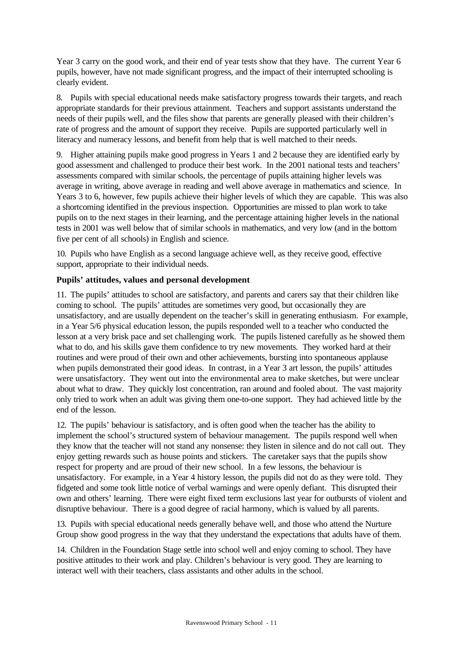Year 3 carry on the good work, and their end of year tests show that they have. The current Year 6 pupils, however, have not made significant progress, and the impact of their interrupted schooling is clearly evident.

8. Pupils with special educational needs make satisfactory progress towards their targets, and reach appropriate standards for their previous attainment. Teachers and support assistants understand the needs of their pupils well, and the files show that parents are generally pleased with their children's rate of progress and the amount of support they receive. Pupils are supported particularly well in literacy and numeracy lessons, and benefit from help that is well matched to their needs.

9. Higher attaining pupils make good progress in Years 1 and 2 because they are identified early by good assessment and challenged to produce their best work. In the 2001 national tests and teachers' assessments compared with similar schools, the percentage of pupils attaining higher levels was average in writing, above average in reading and well above average in mathematics and science. In Years 3 to 6, however, few pupils achieve their higher levels of which they are capable. This was also a shortcoming identified in the previous inspection. Opportunities are missed to plan work to take pupils on to the next stages in their learning, and the percentage attaining higher levels in the national tests in 2001 was well below that of similar schools in mathematics, and very low (and in the bottom five per cent of all schools) in English and science.

10. Pupils who have English as a second language achieve well, as they receive good, effective support, appropriate to their individual needs.

# **Pupils' attitudes, values and personal development**

11. The pupils' attitudes to school are satisfactory, and parents and carers say that their children like coming to school. The pupils' attitudes are sometimes very good, but occasionally they are unsatisfactory, and are usually dependent on the teacher's skill in generating enthusiasm. For example, in a Year 5/6 physical education lesson, the pupils responded well to a teacher who conducted the lesson at a very brisk pace and set challenging work. The pupils listened carefully as he showed them what to do, and his skills gave them confidence to try new movements. They worked hard at their routines and were proud of their own and other achievements, bursting into spontaneous applause when pupils demonstrated their good ideas. In contrast, in a Year 3 art lesson, the pupils' attitudes were unsatisfactory. They went out into the environmental area to make sketches, but were unclear about what to draw. They quickly lost concentration, ran around and fooled about. The vast majority only tried to work when an adult was giving them one-to-one support. They had achieved little by the end of the lesson.

12. The pupils' behaviour is satisfactory, and is often good when the teacher has the ability to implement the school's structured system of behaviour management. The pupils respond well when they know that the teacher will not stand any nonsense: they listen in silence and do not call out. They enjoy getting rewards such as house points and stickers. The caretaker says that the pupils show respect for property and are proud of their new school. In a few lessons, the behaviour is unsatisfactory. For example, in a Year 4 history lesson, the pupils did not do as they were told. They fidgeted and some took little notice of verbal warnings and were openly defiant. This disrupted their own and others' learning. There were eight fixed term exclusions last year for outbursts of violent and disruptive behaviour. There is a good degree of racial harmony, which is valued by all parents.

13. Pupils with special educational needs generally behave well, and those who attend the Nurture Group show good progress in the way that they understand the expectations that adults have of them.

14. Children in the Foundation Stage settle into school well and enjoy coming to school. They have positive attitudes to their work and play. Children's behaviour is very good. They are learning to interact well with their teachers, class assistants and other adults in the school.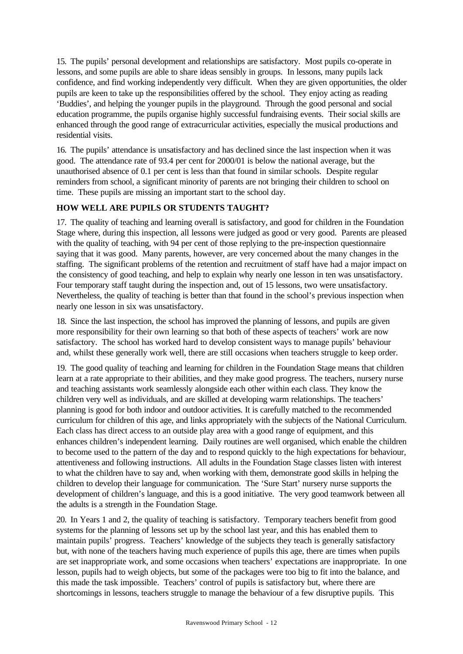15. The pupils' personal development and relationships are satisfactory. Most pupils co-operate in lessons, and some pupils are able to share ideas sensibly in groups. In lessons, many pupils lack confidence, and find working independently very difficult. When they are given opportunities, the older pupils are keen to take up the responsibilities offered by the school. They enjoy acting as reading 'Buddies', and helping the younger pupils in the playground. Through the good personal and social education programme, the pupils organise highly successful fundraising events. Their social skills are enhanced through the good range of extracurricular activities, especially the musical productions and residential visits.

16. The pupils' attendance is unsatisfactory and has declined since the last inspection when it was good. The attendance rate of 93.4 per cent for 2000/01 is below the national average, but the unauthorised absence of 0.1 per cent is less than that found in similar schools. Despite regular reminders from school, a significant minority of parents are not bringing their children to school on time. These pupils are missing an important start to the school day.

# **HOW WELL ARE PUPILS OR STUDENTS TAUGHT?**

17. The quality of teaching and learning overall is satisfactory, and good for children in the Foundation Stage where, during this inspection, all lessons were judged as good or very good. Parents are pleased with the quality of teaching, with 94 per cent of those replying to the pre-inspection questionnaire saying that it was good. Many parents, however, are very concerned about the many changes in the staffing. The significant problems of the retention and recruitment of staff have had a major impact on the consistency of good teaching, and help to explain why nearly one lesson in ten was unsatisfactory. Four temporary staff taught during the inspection and, out of 15 lessons, two were unsatisfactory. Nevertheless, the quality of teaching is better than that found in the school's previous inspection when nearly one lesson in six was unsatisfactory.

18. Since the last inspection, the school has improved the planning of lessons, and pupils are given more responsibility for their own learning so that both of these aspects of teachers' work are now satisfactory. The school has worked hard to develop consistent ways to manage pupils' behaviour and, whilst these generally work well, there are still occasions when teachers struggle to keep order.

19. The good quality of teaching and learning for children in the Foundation Stage means that children learn at a rate appropriate to their abilities, and they make good progress. The teachers, nursery nurse and teaching assistants work seamlessly alongside each other within each class. They know the children very well as individuals, and are skilled at developing warm relationships. The teachers' planning is good for both indoor and outdoor activities. It is carefully matched to the recommended curriculum for children of this age, and links appropriately with the subjects of the National Curriculum. Each class has direct access to an outside play area with a good range of equipment, and this enhances children's independent learning. Daily routines are well organised, which enable the children to become used to the pattern of the day and to respond quickly to the high expectations for behaviour, attentiveness and following instructions. All adults in the Foundation Stage classes listen with interest to what the children have to say and, when working with them, demonstrate good skills in helping the children to develop their language for communication. The 'Sure Start' nursery nurse supports the development of children's language, and this is a good initiative. The very good teamwork between all the adults is a strength in the Foundation Stage.

20. In Years 1 and 2, the quality of teaching is satisfactory. Temporary teachers benefit from good systems for the planning of lessons set up by the school last year, and this has enabled them to maintain pupils' progress. Teachers' knowledge of the subjects they teach is generally satisfactory but, with none of the teachers having much experience of pupils this age, there are times when pupils are set inappropriate work, and some occasions when teachers' expectations are inappropriate. In one lesson, pupils had to weigh objects, but some of the packages were too big to fit into the balance, and this made the task impossible. Teachers' control of pupils is satisfactory but, where there are shortcomings in lessons, teachers struggle to manage the behaviour of a few disruptive pupils. This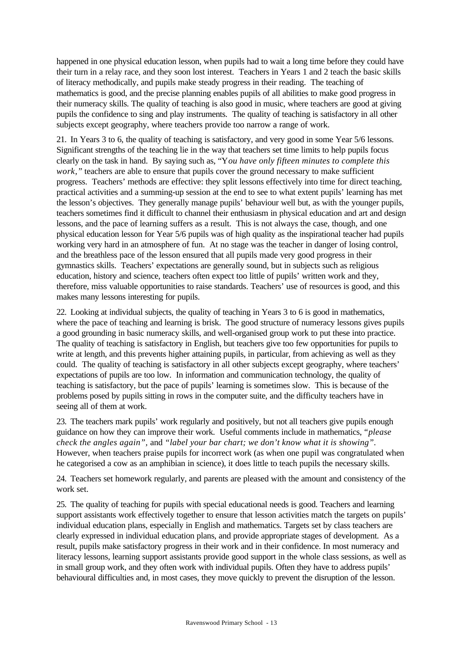happened in one physical education lesson, when pupils had to wait a long time before they could have their turn in a relay race, and they soon lost interest. Teachers in Years 1 and 2 teach the basic skills of literacy methodically, and pupils make steady progress in their reading. The teaching of mathematics is good, and the precise planning enables pupils of all abilities to make good progress in their numeracy skills. The quality of teaching is also good in music, where teachers are good at giving pupils the confidence to sing and play instruments. The quality of teaching is satisfactory in all other subjects except geography, where teachers provide too narrow a range of work.

21. In Years 3 to 6, the quality of teaching is satisfactory, and very good in some Year 5/6 lessons. Significant strengths of the teaching lie in the way that teachers set time limits to help pupils focus clearly on the task in hand. By saying such as, "Y*ou have only fifteen minutes to complete this work*," teachers are able to ensure that pupils cover the ground necessary to make sufficient progress. Teachers' methods are effective: they split lessons effectively into time for direct teaching, practical activities and a summing-up session at the end to see to what extent pupils' learning has met the lesson's objectives. They generally manage pupils' behaviour well but, as with the younger pupils, teachers sometimes find it difficult to channel their enthusiasm in physical education and art and design lessons, and the pace of learning suffers as a result. This is not always the case, though, and one physical education lesson for Year 5/6 pupils was of high quality as the inspirational teacher had pupils working very hard in an atmosphere of fun. At no stage was the teacher in danger of losing control, and the breathless pace of the lesson ensured that all pupils made very good progress in their gymnastics skills. Teachers' expectations are generally sound, but in subjects such as religious education, history and science, teachers often expect too little of pupils' written work and they, therefore, miss valuable opportunities to raise standards. Teachers' use of resources is good, and this makes many lessons interesting for pupils.

22. Looking at individual subjects, the quality of teaching in Years 3 to 6 is good in mathematics, where the pace of teaching and learning is brisk. The good structure of numeracy lessons gives pupils a good grounding in basic numeracy skills, and well-organised group work to put these into practice. The quality of teaching is satisfactory in English, but teachers give too few opportunities for pupils to write at length, and this prevents higher attaining pupils, in particular, from achieving as well as they could. The quality of teaching is satisfactory in all other subjects except geography, where teachers' expectations of pupils are too low. In information and communication technology, the quality of teaching is satisfactory, but the pace of pupils' learning is sometimes slow. This is because of the problems posed by pupils sitting in rows in the computer suite, and the difficulty teachers have in seeing all of them at work.

23. The teachers mark pupils' work regularly and positively, but not all teachers give pupils enough guidance on how they can improve their work. Useful comments include in mathematics, *"please check the angles again",* and *"label your bar chart; we don't know what it is showing".* However, when teachers praise pupils for incorrect work (as when one pupil was congratulated when he categorised a cow as an amphibian in science), it does little to teach pupils the necessary skills.

24. Teachers set homework regularly, and parents are pleased with the amount and consistency of the work set.

25. The quality of teaching for pupils with special educational needs is good. Teachers and learning support assistants work effectively together to ensure that lesson activities match the targets on pupils' individual education plans, especially in English and mathematics. Targets set by class teachers are clearly expressed in individual education plans, and provide appropriate stages of development. As a result, pupils make satisfactory progress in their work and in their confidence. In most numeracy and literacy lessons, learning support assistants provide good support in the whole class sessions, as well as in small group work, and they often work with individual pupils. Often they have to address pupils' behavioural difficulties and, in most cases, they move quickly to prevent the disruption of the lesson.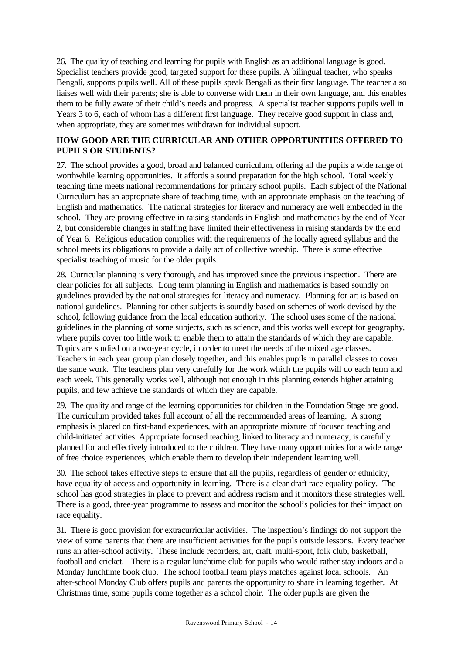26. The quality of teaching and learning for pupils with English as an additional language is good. Specialist teachers provide good, targeted support for these pupils. A bilingual teacher, who speaks Bengali, supports pupils well. All of these pupils speak Bengali as their first language. The teacher also liaises well with their parents; she is able to converse with them in their own language, and this enables them to be fully aware of their child's needs and progress. A specialist teacher supports pupils well in Years 3 to 6, each of whom has a different first language. They receive good support in class and, when appropriate, they are sometimes withdrawn for individual support.

# **HOW GOOD ARE THE CURRICULAR AND OTHER OPPORTUNITIES OFFERED TO PUPILS OR STUDENTS?**

27. The school provides a good, broad and balanced curriculum, offering all the pupils a wide range of worthwhile learning opportunities. It affords a sound preparation for the high school. Total weekly teaching time meets national recommendations for primary school pupils. Each subject of the National Curriculum has an appropriate share of teaching time, with an appropriate emphasis on the teaching of English and mathematics. The national strategies for literacy and numeracy are well embedded in the school. They are proving effective in raising standards in English and mathematics by the end of Year 2, but considerable changes in staffing have limited their effectiveness in raising standards by the end of Year 6. Religious education complies with the requirements of the locally agreed syllabus and the school meets its obligations to provide a daily act of collective worship. There is some effective specialist teaching of music for the older pupils.

28. Curricular planning is very thorough, and has improved since the previous inspection. There are clear policies for all subjects. Long term planning in English and mathematics is based soundly on guidelines provided by the national strategies for literacy and numeracy. Planning for art is based on national guidelines. Planning for other subjects is soundly based on schemes of work devised by the school, following guidance from the local education authority. The school uses some of the national guidelines in the planning of some subjects, such as science, and this works well except for geography, where pupils cover too little work to enable them to attain the standards of which they are capable. Topics are studied on a two-year cycle, in order to meet the needs of the mixed age classes. Teachers in each year group plan closely together, and this enables pupils in parallel classes to cover the same work. The teachers plan very carefully for the work which the pupils will do each term and each week. This generally works well, although not enough in this planning extends higher attaining pupils, and few achieve the standards of which they are capable.

29. The quality and range of the learning opportunities for children in the Foundation Stage are good. The curriculum provided takes full account of all the recommended areas of learning. A strong emphasis is placed on first-hand experiences, with an appropriate mixture of focused teaching and child-initiated activities. Appropriate focused teaching, linked to literacy and numeracy, is carefully planned for and effectively introduced to the children. They have many opportunities for a wide range of free choice experiences, which enable them to develop their independent learning well.

30. The school takes effective steps to ensure that all the pupils, regardless of gender or ethnicity, have equality of access and opportunity in learning. There is a clear draft race equality policy. The school has good strategies in place to prevent and address racism and it monitors these strategies well. There is a good, three-year programme to assess and monitor the school's policies for their impact on race equality.

31. There is good provision for extracurricular activities. The inspection's findings do not support the view of some parents that there are insufficient activities for the pupils outside lessons. Every teacher runs an after-school activity. These include recorders, art, craft, multi-sport, folk club, basketball, football and cricket. There is a regular lunchtime club for pupils who would rather stay indoors and a Monday lunchtime book club. The school football team plays matches against local schools. An after-school Monday Club offers pupils and parents the opportunity to share in learning together. At Christmas time, some pupils come together as a school choir. The older pupils are given the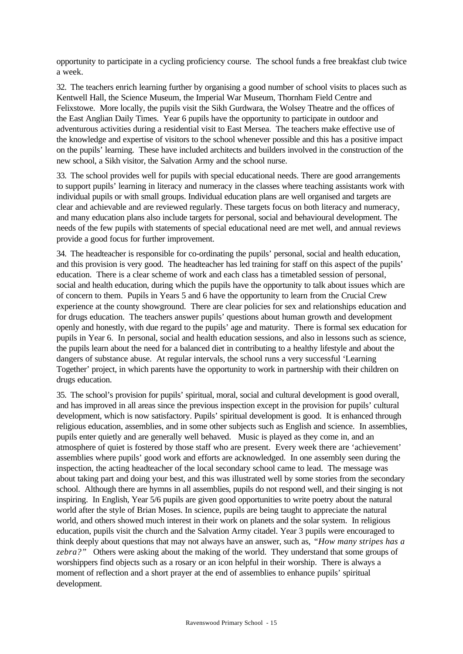opportunity to participate in a cycling proficiency course. The school funds a free breakfast club twice a week.

32. The teachers enrich learning further by organising a good number of school visits to places such as Kentwell Hall, the Science Museum, the Imperial War Museum, Thornham Field Centre and Felixstowe. More locally, the pupils visit the Sikh Gurdwara, the Wolsey Theatre and the offices of the East Anglian Daily Times. Year 6 pupils have the opportunity to participate in outdoor and adventurous activities during a residential visit to East Mersea. The teachers make effective use of the knowledge and expertise of visitors to the school whenever possible and this has a positive impact on the pupils' learning. These have included architects and builders involved in the construction of the new school, a Sikh visitor, the Salvation Army and the school nurse.

33. The school provides well for pupils with special educational needs. There are good arrangements to support pupils' learning in literacy and numeracy in the classes where teaching assistants work with individual pupils or with small groups. Individual education plans are well organised and targets are clear and achievable and are reviewed regularly. These targets focus on both literacy and numeracy, and many education plans also include targets for personal, social and behavioural development. The needs of the few pupils with statements of special educational need are met well, and annual reviews provide a good focus for further improvement.

34. The headteacher is responsible for co-ordinating the pupils' personal, social and health education, and this provision is very good. The headteacher has led training for staff on this aspect of the pupils' education. There is a clear scheme of work and each class has a timetabled session of personal, social and health education, during which the pupils have the opportunity to talk about issues which are of concern to them. Pupils in Years 5 and 6 have the opportunity to learn from the Crucial Crew experience at the county showground. There are clear policies for sex and relationships education and for drugs education. The teachers answer pupils' questions about human growth and development openly and honestly, with due regard to the pupils' age and maturity. There is formal sex education for pupils in Year 6. In personal, social and health education sessions, and also in lessons such as science, the pupils learn about the need for a balanced diet in contributing to a healthy lifestyle and about the dangers of substance abuse. At regular intervals, the school runs a very successful 'Learning Together' project, in which parents have the opportunity to work in partnership with their children on drugs education.

35. The school's provision for pupils' spiritual, moral, social and cultural development is good overall, and has improved in all areas since the previous inspection except in the provision for pupils' cultural development, which is now satisfactory. Pupils' spiritual development is good. It is enhanced through religious education, assemblies, and in some other subjects such as English and science. In assemblies, pupils enter quietly and are generally well behaved. Music is played as they come in, and an atmosphere of quiet is fostered by those staff who are present. Every week there are 'achievement' assemblies where pupils' good work and efforts are acknowledged. In one assembly seen during the inspection, the acting headteacher of the local secondary school came to lead. The message was about taking part and doing your best, and this was illustrated well by some stories from the secondary school. Although there are hymns in all assemblies, pupils do not respond well, and their singing is not inspiring. In English, Year 5/6 pupils are given good opportunities to write poetry about the natural world after the style of Brian Moses. In science, pupils are being taught to appreciate the natural world, and others showed much interest in their work on planets and the solar system. In religious education, pupils visit the church and the Salvation Army citadel. Year 3 pupils were encouraged to think deeply about questions that may not always have an answer, such as, *"How many stripes has a zebra?"* Others were asking about the making of the world. They understand that some groups of worshippers find objects such as a rosary or an icon helpful in their worship. There is always a moment of reflection and a short prayer at the end of assemblies to enhance pupils' spiritual development.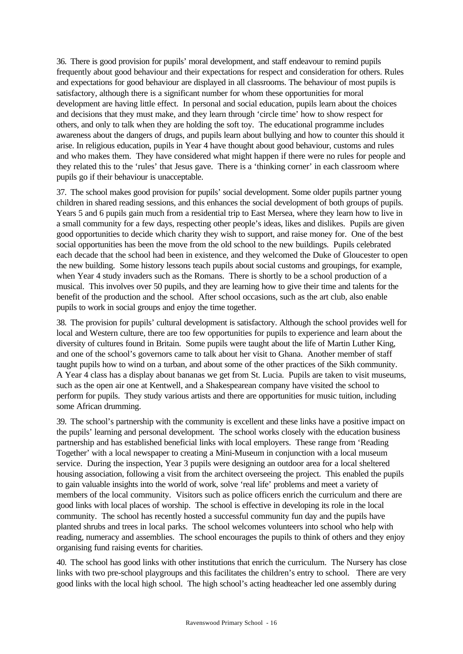36. There is good provision for pupils' moral development, and staff endeavour to remind pupils frequently about good behaviour and their expectations for respect and consideration for others. Rules and expectations for good behaviour are displayed in all classrooms. The behaviour of most pupils is satisfactory, although there is a significant number for whom these opportunities for moral development are having little effect. In personal and social education, pupils learn about the choices and decisions that they must make, and they learn through 'circle time' how to show respect for others, and only to talk when they are holding the soft toy. The educational programme includes awareness about the dangers of drugs, and pupils learn about bullying and how to counter this should it arise. In religious education, pupils in Year 4 have thought about good behaviour, customs and rules and who makes them. They have considered what might happen if there were no rules for people and they related this to the 'rules' that Jesus gave. There is a 'thinking corner' in each classroom where pupils go if their behaviour is unacceptable.

37. The school makes good provision for pupils' social development. Some older pupils partner young children in shared reading sessions, and this enhances the social development of both groups of pupils. Years 5 and 6 pupils gain much from a residential trip to East Mersea, where they learn how to live in a small community for a few days, respecting other people's ideas, likes and dislikes. Pupils are given good opportunities to decide which charity they wish to support, and raise money for. One of the best social opportunities has been the move from the old school to the new buildings. Pupils celebrated each decade that the school had been in existence, and they welcomed the Duke of Gloucester to open the new building. Some history lessons teach pupils about social customs and groupings, for example, when Year 4 study invaders such as the Romans. There is shortly to be a school production of a musical. This involves over 50 pupils, and they are learning how to give their time and talents for the benefit of the production and the school. After school occasions, such as the art club, also enable pupils to work in social groups and enjoy the time together.

38. The provision for pupils' cultural development is satisfactory. Although the school provides well for local and Western culture, there are too few opportunities for pupils to experience and learn about the diversity of cultures found in Britain. Some pupils were taught about the life of Martin Luther King, and one of the school's governors came to talk about her visit to Ghana. Another member of staff taught pupils how to wind on a turban, and about some of the other practices of the Sikh community. A Year 4 class has a display about bananas we get from St. Lucia. Pupils are taken to visit museums, such as the open air one at Kentwell, and a Shakespearean company have visited the school to perform for pupils. They study various artists and there are opportunities for music tuition, including some African drumming.

39. The school's partnership with the community is excellent and these links have a positive impact on the pupils' learning and personal development. The school works closely with the education business partnership and has established beneficial links with local employers. These range from 'Reading Together' with a local newspaper to creating a Mini-Museum in conjunction with a local museum service. During the inspection, Year 3 pupils were designing an outdoor area for a local sheltered housing association, following a visit from the architect overseeing the project. This enabled the pupils to gain valuable insights into the world of work, solve 'real life' problems and meet a variety of members of the local community. Visitors such as police officers enrich the curriculum and there are good links with local places of worship. The school is effective in developing its role in the local community. The school has recently hosted a successful community fun day and the pupils have planted shrubs and trees in local parks. The school welcomes volunteers into school who help with reading, numeracy and assemblies. The school encourages the pupils to think of others and they enjoy organising fund raising events for charities.

40. The school has good links with other institutions that enrich the curriculum. The Nursery has close links with two pre-school playgroups and this facilitates the children's entry to school. There are very good links with the local high school. The high school's acting headteacher led one assembly during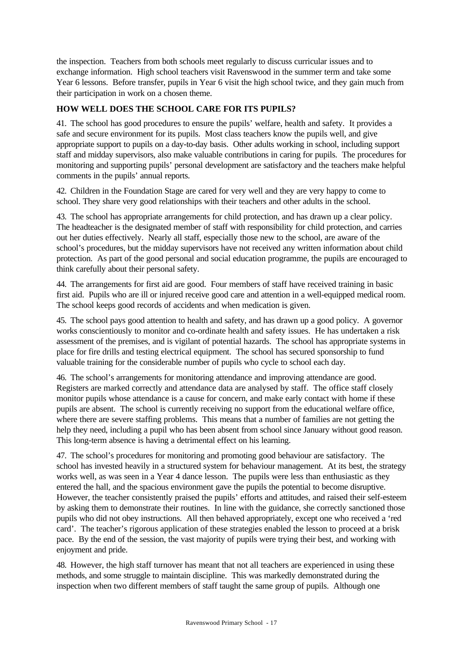the inspection. Teachers from both schools meet regularly to discuss curricular issues and to exchange information. High school teachers visit Ravenswood in the summer term and take some Year 6 lessons. Before transfer, pupils in Year 6 visit the high school twice, and they gain much from their participation in work on a chosen theme.

# **HOW WELL DOES THE SCHOOL CARE FOR ITS PUPILS?**

41. The school has good procedures to ensure the pupils' welfare, health and safety. It provides a safe and secure environment for its pupils. Most class teachers know the pupils well, and give appropriate support to pupils on a day-to-day basis. Other adults working in school, including support staff and midday supervisors, also make valuable contributions in caring for pupils. The procedures for monitoring and supporting pupils' personal development are satisfactory and the teachers make helpful comments in the pupils' annual reports.

42. Children in the Foundation Stage are cared for very well and they are very happy to come to school. They share very good relationships with their teachers and other adults in the school.

43. The school has appropriate arrangements for child protection, and has drawn up a clear policy. The headteacher is the designated member of staff with responsibility for child protection, and carries out her duties effectively. Nearly all staff, especially those new to the school, are aware of the school's procedures, but the midday supervisors have not received any written information about child protection. As part of the good personal and social education programme, the pupils are encouraged to think carefully about their personal safety.

44. The arrangements for first aid are good. Four members of staff have received training in basic first aid. Pupils who are ill or injured receive good care and attention in a well-equipped medical room. The school keeps good records of accidents and when medication is given.

45. The school pays good attention to health and safety, and has drawn up a good policy. A governor works conscientiously to monitor and co-ordinate health and safety issues. He has undertaken a risk assessment of the premises, and is vigilant of potential hazards. The school has appropriate systems in place for fire drills and testing electrical equipment. The school has secured sponsorship to fund valuable training for the considerable number of pupils who cycle to school each day.

46. The school's arrangements for monitoring attendance and improving attendance are good. Registers are marked correctly and attendance data are analysed by staff. The office staff closely monitor pupils whose attendance is a cause for concern, and make early contact with home if these pupils are absent. The school is currently receiving no support from the educational welfare office, where there are severe staffing problems. This means that a number of families are not getting the help they need, including a pupil who has been absent from school since January without good reason. This long-term absence is having a detrimental effect on his learning.

47. The school's procedures for monitoring and promoting good behaviour are satisfactory. The school has invested heavily in a structured system for behaviour management. At its best, the strategy works well, as was seen in a Year 4 dance lesson. The pupils were less than enthusiastic as they entered the hall, and the spacious environment gave the pupils the potential to become disruptive. However, the teacher consistently praised the pupils' efforts and attitudes, and raised their self-esteem by asking them to demonstrate their routines. In line with the guidance, she correctly sanctioned those pupils who did not obey instructions. All then behaved appropriately, except one who received a 'red card'. The teacher's rigorous application of these strategies enabled the lesson to proceed at a brisk pace. By the end of the session, the vast majority of pupils were trying their best, and working with enjoyment and pride.

48. However, the high staff turnover has meant that not all teachers are experienced in using these methods, and some struggle to maintain discipline. This was markedly demonstrated during the inspection when two different members of staff taught the same group of pupils. Although one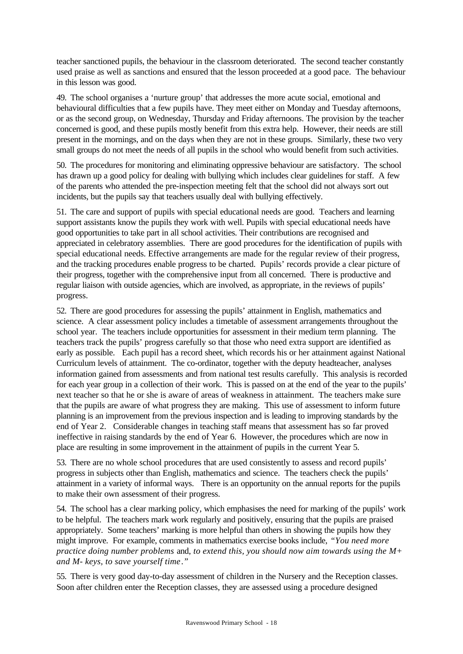teacher sanctioned pupils, the behaviour in the classroom deteriorated. The second teacher constantly used praise as well as sanctions and ensured that the lesson proceeded at a good pace. The behaviour in this lesson was good.

49. The school organises a 'nurture group' that addresses the more acute social, emotional and behavioural difficulties that a few pupils have. They meet either on Monday and Tuesday afternoons, or as the second group, on Wednesday, Thursday and Friday afternoons. The provision by the teacher concerned is good, and these pupils mostly benefit from this extra help. However, their needs are still present in the mornings, and on the days when they are not in these groups. Similarly, these two very small groups do not meet the needs of all pupils in the school who would benefit from such activities.

50. The procedures for monitoring and eliminating oppressive behaviour are satisfactory. The school has drawn up a good policy for dealing with bullying which includes clear guidelines for staff. A few of the parents who attended the pre-inspection meeting felt that the school did not always sort out incidents, but the pupils say that teachers usually deal with bullying effectively.

51. The care and support of pupils with special educational needs are good. Teachers and learning support assistants know the pupils they work with well. Pupils with special educational needs have good opportunities to take part in all school activities. Their contributions are recognised and appreciated in celebratory assemblies. There are good procedures for the identification of pupils with special educational needs. Effective arrangements are made for the regular review of their progress, and the tracking procedures enable progress to be charted. Pupils' records provide a clear picture of their progress, together with the comprehensive input from all concerned. There is productive and regular liaison with outside agencies, which are involved, as appropriate, in the reviews of pupils' progress.

52. There are good procedures for assessing the pupils' attainment in English, mathematics and science. A clear assessment policy includes a timetable of assessment arrangements throughout the school year. The teachers include opportunities for assessment in their medium term planning. The teachers track the pupils' progress carefully so that those who need extra support are identified as early as possible. Each pupil has a record sheet, which records his or her attainment against National Curriculum levels of attainment. The co-ordinator, together with the deputy headteacher, analyses information gained from assessments and from national test results carefully. This analysis is recorded for each year group in a collection of their work. This is passed on at the end of the year to the pupils' next teacher so that he or she is aware of areas of weakness in attainment. The teachers make sure that the pupils are aware of what progress they are making. This use of assessment to inform future planning is an improvement from the previous inspection and is leading to improving standards by the end of Year 2. Considerable changes in teaching staff means that assessment has so far proved ineffective in raising standards by the end of Year 6. However, the procedures which are now in place are resulting in some improvement in the attainment of pupils in the current Year 5.

53. There are no whole school procedures that are used consistently to assess and record pupils' progress in subjects other than English, mathematics and science. The teachers check the pupils' attainment in a variety of informal ways. There is an opportunity on the annual reports for the pupils to make their own assessment of their progress.

54. The school has a clear marking policy, which emphasises the need for marking of the pupils' work to be helpful. The teachers mark work regularly and positively, ensuring that the pupils are praised appropriately. Some teachers' marking is more helpful than others in showing the pupils how they might improve. For example, comments in mathematics exercise books include, *"You need more practice doing number problems* and, *to extend this, you should now aim towards using the M+ and M- keys, to save yourself time*.*"*

55. There is very good day-to-day assessment of children in the Nursery and the Reception classes. Soon after children enter the Reception classes, they are assessed using a procedure designed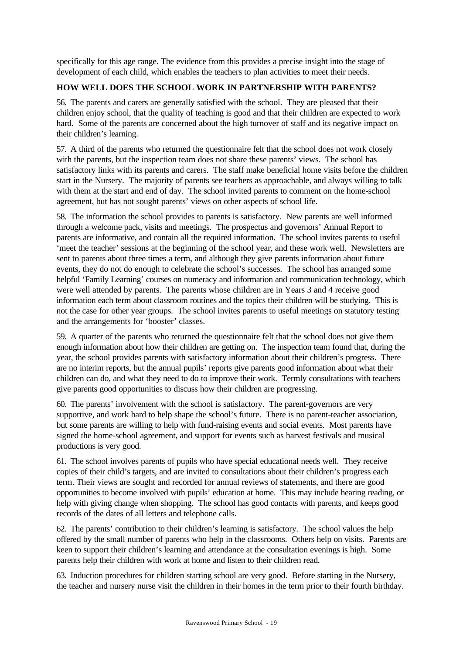specifically for this age range. The evidence from this provides a precise insight into the stage of development of each child, which enables the teachers to plan activities to meet their needs.

# **HOW WELL DOES THE SCHOOL WORK IN PARTNERSHIP WITH PARENTS?**

56. The parents and carers are generally satisfied with the school. They are pleased that their children enjoy school, that the quality of teaching is good and that their children are expected to work hard. Some of the parents are concerned about the high turnover of staff and its negative impact on their children's learning.

57. A third of the parents who returned the questionnaire felt that the school does not work closely with the parents, but the inspection team does not share these parents' views. The school has satisfactory links with its parents and carers. The staff make beneficial home visits before the children start in the Nursery. The majority of parents see teachers as approachable, and always willing to talk with them at the start and end of day. The school invited parents to comment on the home-school agreement, but has not sought parents' views on other aspects of school life.

58. The information the school provides to parents is satisfactory. New parents are well informed through a welcome pack, visits and meetings. The prospectus and governors' Annual Report to parents are informative, and contain all the required information. The school invites parents to useful 'meet the teacher' sessions at the beginning of the school year, and these work well. Newsletters are sent to parents about three times a term, and although they give parents information about future events, they do not do enough to celebrate the school's successes. The school has arranged some helpful 'Family Learning' courses on numeracy and information and communication technology, which were well attended by parents. The parents whose children are in Years 3 and 4 receive good information each term about classroom routines and the topics their children will be studying. This is not the case for other year groups. The school invites parents to useful meetings on statutory testing and the arrangements for 'booster' classes.

59. A quarter of the parents who returned the questionnaire felt that the school does not give them enough information about how their children are getting on. The inspection team found that, during the year, the school provides parents with satisfactory information about their children's progress. There are no interim reports, but the annual pupils' reports give parents good information about what their children can do, and what they need to do to improve their work. Termly consultations with teachers give parents good opportunities to discuss how their children are progressing.

60. The parents' involvement with the school is satisfactory. The parent-governors are very supportive, and work hard to help shape the school's future. There is no parent-teacher association, but some parents are willing to help with fund-raising events and social events. Most parents have signed the home-school agreement, and support for events such as harvest festivals and musical productions is very good.

61. The school involves parents of pupils who have special educational needs well. They receive copies of their child's targets, and are invited to consultations about their children's progress each term. Their views are sought and recorded for annual reviews of statements, and there are good opportunities to become involved with pupils' education at home. This may include hearing reading, or help with giving change when shopping. The school has good contacts with parents, and keeps good records of the dates of all letters and telephone calls.

62. The parents' contribution to their children's learning is satisfactory. The school values the help offered by the small number of parents who help in the classrooms. Others help on visits. Parents are keen to support their children's learning and attendance at the consultation evenings is high. Some parents help their children with work at home and listen to their children read.

63. Induction procedures for children starting school are very good. Before starting in the Nursery, the teacher and nursery nurse visit the children in their homes in the term prior to their fourth birthday.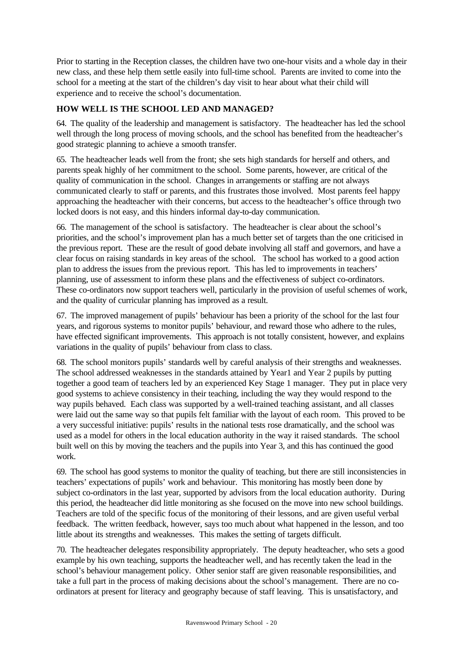Prior to starting in the Reception classes, the children have two one-hour visits and a whole day in their new class, and these help them settle easily into full-time school. Parents are invited to come into the school for a meeting at the start of the children's day visit to hear about what their child will experience and to receive the school's documentation.

# **HOW WELL IS THE SCHOOL LED AND MANAGED?**

64. The quality of the leadership and management is satisfactory. The headteacher has led the school well through the long process of moving schools, and the school has benefited from the headteacher's good strategic planning to achieve a smooth transfer.

65. The headteacher leads well from the front; she sets high standards for herself and others, and parents speak highly of her commitment to the school. Some parents, however, are critical of the quality of communication in the school. Changes in arrangements or staffing are not always communicated clearly to staff or parents, and this frustrates those involved. Most parents feel happy approaching the headteacher with their concerns, but access to the headteacher's office through two locked doors is not easy, and this hinders informal day-to-day communication.

66. The management of the school is satisfactory. The headteacher is clear about the school's priorities, and the school's improvement plan has a much better set of targets than the one criticised in the previous report. These are the result of good debate involving all staff and governors, and have a clear focus on raising standards in key areas of the school. The school has worked to a good action plan to address the issues from the previous report. This has led to improvements in teachers' planning, use of assessment to inform these plans and the effectiveness of subject co-ordinators. These co-ordinators now support teachers well, particularly in the provision of useful schemes of work, and the quality of curricular planning has improved as a result.

67. The improved management of pupils' behaviour has been a priority of the school for the last four years, and rigorous systems to monitor pupils' behaviour, and reward those who adhere to the rules, have effected significant improvements. This approach is not totally consistent, however, and explains variations in the quality of pupils' behaviour from class to class.

68. The school monitors pupils' standards well by careful analysis of their strengths and weaknesses. The school addressed weaknesses in the standards attained by Year1 and Year 2 pupils by putting together a good team of teachers led by an experienced Key Stage 1 manager. They put in place very good systems to achieve consistency in their teaching, including the way they would respond to the way pupils behaved. Each class was supported by a well-trained teaching assistant, and all classes were laid out the same way so that pupils felt familiar with the layout of each room. This proved to be a very successful initiative: pupils' results in the national tests rose dramatically, and the school was used as a model for others in the local education authority in the way it raised standards. The school built well on this by moving the teachers and the pupils into Year 3, and this has continued the good work.

69. The school has good systems to monitor the quality of teaching, but there are still inconsistencies in teachers' expectations of pupils' work and behaviour. This monitoring has mostly been done by subject co-ordinators in the last year, supported by advisors from the local education authority. During this period, the headteacher did little monitoring as she focused on the move into new school buildings. Teachers are told of the specific focus of the monitoring of their lessons, and are given useful verbal feedback. The written feedback, however, says too much about what happened in the lesson, and too little about its strengths and weaknesses. This makes the setting of targets difficult.

70. The headteacher delegates responsibility appropriately. The deputy headteacher, who sets a good example by his own teaching, supports the headteacher well, and has recently taken the lead in the school's behaviour management policy. Other senior staff are given reasonable responsibilities, and take a full part in the process of making decisions about the school's management. There are no coordinators at present for literacy and geography because of staff leaving. This is unsatisfactory, and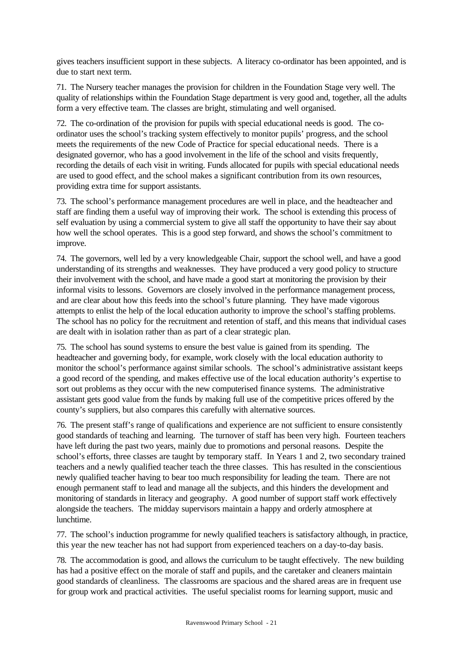gives teachers insufficient support in these subjects. A literacy co-ordinator has been appointed, and is due to start next term.

71. The Nursery teacher manages the provision for children in the Foundation Stage very well. The quality of relationships within the Foundation Stage department is very good and, together, all the adults form a very effective team. The classes are bright, stimulating and well organised.

72. The co-ordination of the provision for pupils with special educational needs is good. The coordinator uses the school's tracking system effectively to monitor pupils' progress, and the school meets the requirements of the new Code of Practice for special educational needs. There is a designated governor, who has a good involvement in the life of the school and visits frequently, recording the details of each visit in writing. Funds allocated for pupils with special educational needs are used to good effect, and the school makes a significant contribution from its own resources, providing extra time for support assistants.

73. The school's performance management procedures are well in place, and the headteacher and staff are finding them a useful way of improving their work. The school is extending this process of self evaluation by using a commercial system to give all staff the opportunity to have their say about how well the school operates. This is a good step forward, and shows the school's commitment to improve.

74. The governors, well led by a very knowledgeable Chair, support the school well, and have a good understanding of its strengths and weaknesses. They have produced a very good policy to structure their involvement with the school, and have made a good start at monitoring the provision by their informal visits to lessons. Governors are closely involved in the performance management process, and are clear about how this feeds into the school's future planning. They have made vigorous attempts to enlist the help of the local education authority to improve the school's staffing problems. The school has no policy for the recruitment and retention of staff, and this means that individual cases are dealt with in isolation rather than as part of a clear strategic plan.

75. The school has sound systems to ensure the best value is gained from its spending. The headteacher and governing body, for example, work closely with the local education authority to monitor the school's performance against similar schools. The school's administrative assistant keeps a good record of the spending, and makes effective use of the local education authority's expertise to sort out problems as they occur with the new computerised finance systems. The administrative assistant gets good value from the funds by making full use of the competitive prices offered by the county's suppliers, but also compares this carefully with alternative sources.

76. The present staff's range of qualifications and experience are not sufficient to ensure consistently good standards of teaching and learning. The turnover of staff has been very high. Fourteen teachers have left during the past two years, mainly due to promotions and personal reasons. Despite the school's efforts, three classes are taught by temporary staff. In Years 1 and 2, two secondary trained teachers and a newly qualified teacher teach the three classes. This has resulted in the conscientious newly qualified teacher having to bear too much responsibility for leading the team. There are not enough permanent staff to lead and manage all the subjects, and this hinders the development and monitoring of standards in literacy and geography. A good number of support staff work effectively alongside the teachers. The midday supervisors maintain a happy and orderly atmosphere at lunchtime.

77. The school's induction programme for newly qualified teachers is satisfactory although, in practice, this year the new teacher has not had support from experienced teachers on a day-to-day basis.

78. The accommodation is good, and allows the curriculum to be taught effectively. The new building has had a positive effect on the morale of staff and pupils, and the caretaker and cleaners maintain good standards of cleanliness. The classrooms are spacious and the shared areas are in frequent use for group work and practical activities. The useful specialist rooms for learning support, music and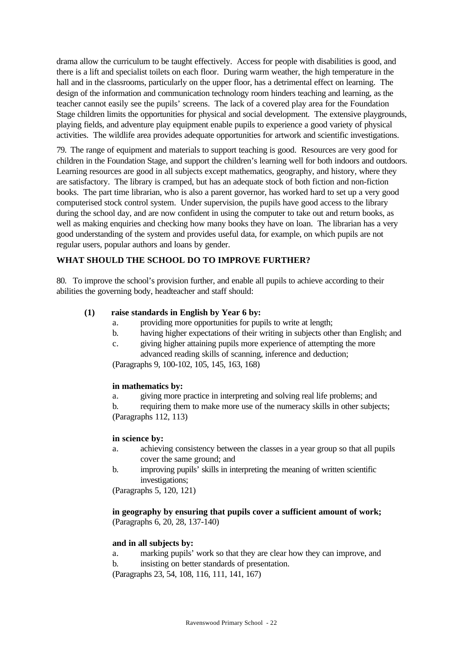drama allow the curriculum to be taught effectively. Access for people with disabilities is good, and there is a lift and specialist toilets on each floor. During warm weather, the high temperature in the hall and in the classrooms, particularly on the upper floor, has a detrimental effect on learning. The design of the information and communication technology room hinders teaching and learning, as the teacher cannot easily see the pupils' screens. The lack of a covered play area for the Foundation Stage children limits the opportunities for physical and social development. The extensive playgrounds, playing fields, and adventure play equipment enable pupils to experience a good variety of physical activities. The wildlife area provides adequate opportunities for artwork and scientific investigations.

79. The range of equipment and materials to support teaching is good. Resources are very good for children in the Foundation Stage, and support the children's learning well for both indoors and outdoors. Learning resources are good in all subjects except mathematics, geography, and history, where they are satisfactory. The library is cramped, but has an adequate stock of both fiction and non-fiction books. The part time librarian, who is also a parent governor, has worked hard to set up a very good computerised stock control system. Under supervision, the pupils have good access to the library during the school day, and are now confident in using the computer to take out and return books, as well as making enquiries and checking how many books they have on loan. The librarian has a very good understanding of the system and provides useful data, for example, on which pupils are not regular users, popular authors and loans by gender.

# **WHAT SHOULD THE SCHOOL DO TO IMPROVE FURTHER?**

80. To improve the school's provision further, and enable all pupils to achieve according to their abilities the governing body, headteacher and staff should:

## **(1) raise standards in English by Year 6 by:**

- a. providing more opportunities for pupils to write at length;
- b. having higher expectations of their writing in subjects other than English; and
- c. giving higher attaining pupils more experience of attempting the more advanced reading skills of scanning, inference and deduction;

(Paragraphs 9, 100-102, 105, 145, 163, 168)

## **in mathematics by:**

a. giving more practice in interpreting and solving real life problems; and

b. requiring them to make more use of the numeracy skills in other subjects; (Paragraphs 112, 113)

## **in science by:**

- a. achieving consistency between the classes in a year group so that all pupils cover the same ground; and
- b. improving pupils' skills in interpreting the meaning of written scientific investigations;

(Paragraphs 5, 120, 121)

## **in geography by ensuring that pupils cover a sufficient amount of work;** (Paragraphs 6, 20, 28, 137-140)

## **and in all subjects by:**

a. marking pupils' work so that they are clear how they can improve, and b. insisting on better standards of presentation.

(Paragraphs 23, 54, 108, 116, 111, 141, 167)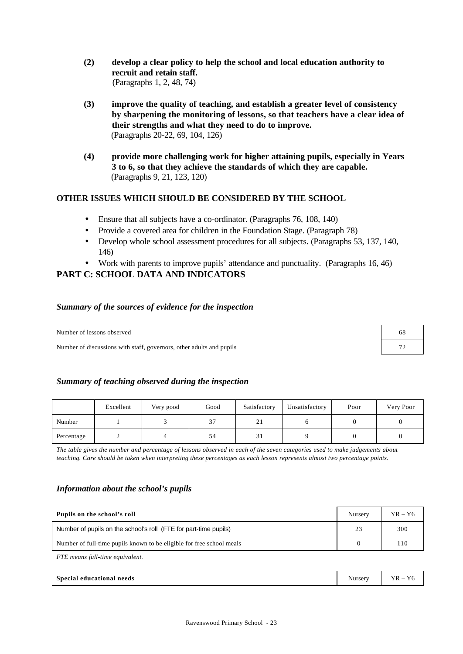- **(2) develop a clear policy to help the school and local education authority to recruit and retain staff.** (Paragraphs 1, 2, 48, 74)
- **(3) improve the quality of teaching, and establish a greater level of consistency by sharpening the monitoring of lessons, so that teachers have a clear idea of their strengths and what they need to do to improve.** (Paragraphs 20-22, 69, 104, 126)
- **(4) provide more challenging work for higher attaining pupils, especially in Years 3 to 6, so that they achieve the standards of which they are capable.** (Paragraphs 9, 21, 123, 120)

## **OTHER ISSUES WHICH SHOULD BE CONSIDERED BY THE SCHOOL**

- Ensure that all subjects have a co-ordinator. (Paragraphs 76, 108, 140)
- Provide a covered area for children in the Foundation Stage. (Paragraph 78)
- Develop whole school assessment procedures for all subjects. (Paragraphs 53, 137, 140, 146)
- Work with parents to improve pupils' attendance and punctuality. (Paragraphs 16, 46)

## **PART C: SCHOOL DATA AND INDICATORS**

## *Summary of the sources of evidence for the inspection*

Number of lessons observed

Number of discussions with staff, governors, other adults and pupils

| 68 |
|----|
| 72 |

## *Summary of teaching observed during the inspection*

|            | Excellent | Very good | Good    | Satisfactory | Unsatisfactory | Poor | Very Poor |
|------------|-----------|-----------|---------|--------------|----------------|------|-----------|
| Number     |           |           | 37<br>້ | $\sim$ 1     |                |      |           |
| Percentage |           |           | 54      | 31           |                |      |           |

*The table gives the number and percentage of lessons observed in each of the seven categories used to make judgements about teaching. Care should be taken when interpreting these percentages as each lesson represents almost two percentage points.*

#### *Information about the school's pupils*

| Pupils on the school's roll                                           | Nursery | $YR - Y6$ |
|-----------------------------------------------------------------------|---------|-----------|
| Number of pupils on the school's roll (FTE for part-time pupils)      | 23      | 300       |
| Number of full-time pupils known to be eligible for free school meals |         | 110       |
| FTE means full-time equivalent.                                       |         |           |

*FTE means full-time equivalent.*

| Special educational needs | Nurserv | $\mathbf{v}$<br><b>TTD</b><br>YΚ<br>1 U |  |
|---------------------------|---------|-----------------------------------------|--|
|---------------------------|---------|-----------------------------------------|--|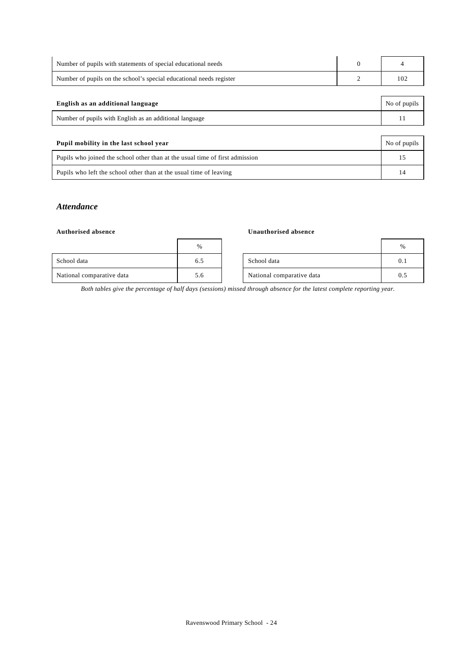| Number of pupils with statements of special educational needs       |  |
|---------------------------------------------------------------------|--|
| Number of pupils on the school's special educational needs register |  |

| English as an additional language                       | No of pupils |
|---------------------------------------------------------|--------------|
| Number of pupils with English as an additional language |              |

| No of pupils<br>Pupil mobility in the last school year                       |    |  |  |  |  |
|------------------------------------------------------------------------------|----|--|--|--|--|
| Pupils who joined the school other than at the usual time of first admission |    |  |  |  |  |
| Pupils who left the school other than at the usual time of leaving           | 14 |  |  |  |  |

## *Attendance*

#### **Authorised absence Unauthorised absence**

| $\cdots$                  |     | chauthorned about c       |     |
|---------------------------|-----|---------------------------|-----|
|                           | %   |                           | %   |
| School data               | 6.5 | School data               | 0.1 |
| National comparative data | 5.6 | National comparative data | 0.5 |

*Both tables give the percentage of half days (sessions) missed through absence for the latest complete reporting year.*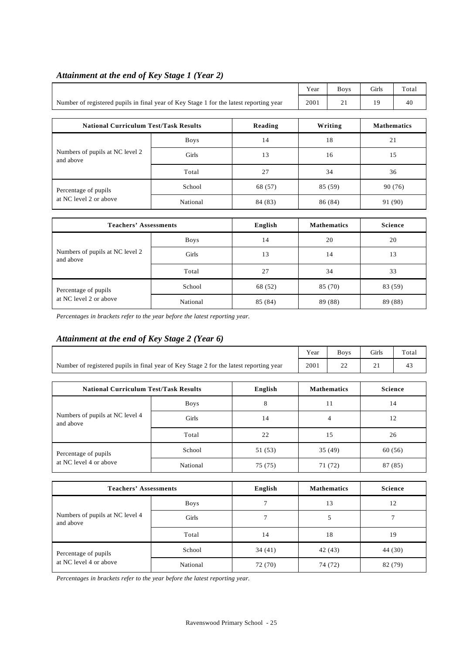|                                                                                        |             |         | Year    | <b>Boys</b>        | Girls   | Total |  |  |  |
|----------------------------------------------------------------------------------------|-------------|---------|---------|--------------------|---------|-------|--|--|--|
| Number of registered pupils in final year of Key Stage 1 for the latest reporting year | 2001        | 21      | 19      | 40                 |         |       |  |  |  |
|                                                                                        |             |         |         |                    |         |       |  |  |  |
| <b>National Curriculum Test/Task Results</b>                                           | Reading     |         | Writing | <b>Mathematics</b> |         |       |  |  |  |
|                                                                                        | <b>Boys</b> | 14      | 18      |                    | 21      |       |  |  |  |
| Numbers of pupils at NC level 2<br>and above                                           | Girls       | 13      | 16      |                    | 15      |       |  |  |  |
|                                                                                        | Total       | 27      | 34      |                    |         | 36    |  |  |  |
| Percentage of pupils                                                                   | School      | 68 (57) |         | 85 (59)            | 90 (76) |       |  |  |  |
| at NC level 2 or above                                                                 | National    | 84 (83) |         | 86 (84)            | 91 (90) |       |  |  |  |

# *Attainment at the end of Key Stage 1 (Year 2)*

| <b>Teachers' Assessments</b>                 |             | English | <b>Mathematics</b> | Science |
|----------------------------------------------|-------------|---------|--------------------|---------|
|                                              | <b>Boys</b> | 14      | 20                 | 20      |
| Numbers of pupils at NC level 2<br>and above | Girls       | 13      | 14                 | 13      |
|                                              | Total       | 27      | 34                 | 33      |
| Percentage of pupils                         | School      | 68 (52) | 85 (70)            | 83 (59) |
| at NC level 2 or above                       | National    | 85 (84) | 89 (88)            | 89 (88) |

*Percentages in brackets refer to the year before the latest reporting year.*

# *Attainment at the end of Key Stage 2 (Year 6)*

|                                                                                        |                             |                    |    | <b>Boys</b>        | Girls  | Total          |  |  |
|----------------------------------------------------------------------------------------|-----------------------------|--------------------|----|--------------------|--------|----------------|--|--|
| Number of registered pupils in final year of Key Stage 2 for the latest reporting year |                             |                    |    | 22                 | 21     | 43             |  |  |
| <b>National Curriculum Test/Task Results</b>                                           |                             | <b>Mathematics</b> |    | Science            |        |                |  |  |
|                                                                                        | English<br>8<br><b>Boys</b> |                    | 11 |                    | 14     |                |  |  |
| Numbers of pupils at NC level 4<br>and above                                           | Girls                       | 14                 |    | 4                  |        | 12             |  |  |
|                                                                                        | Total                       | 22                 |    | 15                 |        | 26             |  |  |
| Percentage of pupils                                                                   | School                      | 51 (53)            |    | 35 (49)<br>71 (72) |        | 60(56)         |  |  |
| at NC level 4 or above                                                                 | National                    | 75 (75)            |    |                    |        | 87 (85)        |  |  |
| <b>Teachers' Assessments</b>                                                           |                             | English            |    | <b>Mathematics</b> |        | <b>Science</b> |  |  |
|                                                                                        | <b>Boys</b>                 | $\overline{7}$     |    | 13                 |        | 12             |  |  |
| Numbers of pupils at NC level 4<br>and above                                           | Girls                       | $\overline{7}$     |    | 5                  | $\tau$ |                |  |  |
|                                                                                        | Total                       | 14                 |    | 18                 | 19     |                |  |  |

*Percentages in brackets refer to the year before the latest reporting year.*

Percentage of pupils School 34 (41) 42 (43) 44 (30) at NC level 4 or above National 72 (70) 74 (72) 82 (79)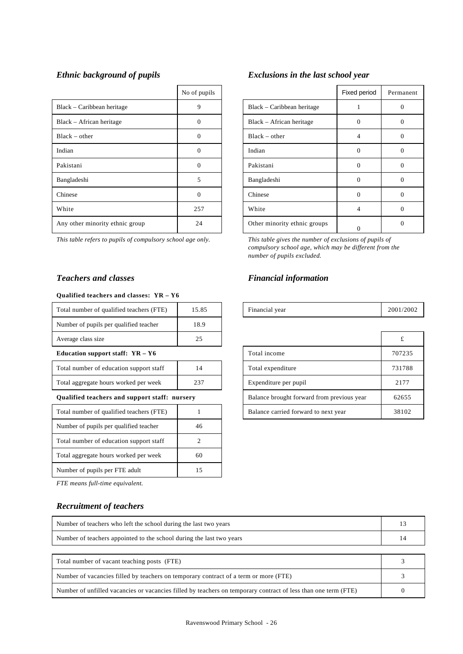|                                 | No of pupils |                              | Fixed period | Perma        |
|---------------------------------|--------------|------------------------------|--------------|--------------|
| Black – Caribbean heritage      | 9            | Black – Caribbean heritage   |              | $\theta$     |
| Black – African heritage        | $\Omega$     | Black – African heritage     | 0            | $\theta$     |
| $Black - other$                 | $\Omega$     | $Black - other$              |              | $\theta$     |
| Indian                          | $\Omega$     | Indian                       | 0            | $\theta$     |
| Pakistani                       | $\Omega$     | Pakistani                    |              | $\Omega$     |
| Bangladeshi                     | 5            | Bangladeshi                  | $\Omega$     | $\Omega$     |
| Chinese                         | 0            | Chinese                      | 0            | $\Omega$     |
| White                           | 257          | White                        | 4            | $\theta$     |
| Any other minority ethnic group | 24           | Other minority ethnic groups | $\theta$     | $\mathbf{0}$ |

## *Teachers and classes Financial information*

#### **Qualified teachers and classes: YR – Y6**

| Total number of qualified teachers (FTE)      | 15.85          | Financial year                             | 2001/ |
|-----------------------------------------------|----------------|--------------------------------------------|-------|
| Number of pupils per qualified teacher        | 18.9           |                                            |       |
| Average class size                            | 25             |                                            | £     |
| Education support staff: $YR - Y6$            |                | Total income                               | 7072  |
| Total number of education support staff       | 14             | Total expenditure                          | 731'  |
| Total aggregate hours worked per week         | 237            | Expenditure per pupil                      | 21'   |
| Qualified teachers and support staff: nursery |                | Balance brought forward from previous year | 626   |
| Total number of qualified teachers (FTE)      |                | Balance carried forward to next year       | 381   |
| Number of pupils per qualified teacher        | 46             |                                            |       |
| Total number of education support staff       | $\overline{2}$ |                                            |       |
| Total aggregate hours worked per week         | 60             |                                            |       |
| Number of pupils per FTE adult                | 15             |                                            |       |
|                                               |                |                                            |       |

*FTE means full-time equivalent.*

# *Recruitment of teachers*

| Number of teachers who left the school during the last two years     |  |  |  |  |
|----------------------------------------------------------------------|--|--|--|--|
| Number of teachers appointed to the school during the last two years |  |  |  |  |
|                                                                      |  |  |  |  |
| Total number of vacant teaching posts (FTE)                          |  |  |  |  |
|                                                                      |  |  |  |  |

| Total number of vacant teaching posts (TTE)                                                                    |  |
|----------------------------------------------------------------------------------------------------------------|--|
| Number of vacancies filled by teachers on temporary contract of a term or more (FTE)                           |  |
| Number of unfilled vacancies or vacancies filled by teachers on temporary contract of less than one term (FTE) |  |

# *Ethnic background of pupils Exclusions in the last school year*

| No of pupils |                              | Fixed period   | Permanent    |
|--------------|------------------------------|----------------|--------------|
| 9            | Black – Caribbean heritage   |                | 0            |
| 0            | Black – African heritage     | $\Omega$       | 0            |
| 0            | $Black - other$              | $\overline{4}$ | $\mathbf{0}$ |
| 0            | Indian                       | $\Omega$       | 0            |
| 0            | Pakistani                    | $\Omega$       | 0            |
| 5            | Bangladeshi                  | $\Omega$       | 0            |
| $\Omega$     | Chinese                      | $\Omega$       | 0            |
| 257          | White                        | 4              | 0            |
| 24           | Other minority ethnic groups |                | 0            |

*This table refers to pupils of compulsory school age only. This table gives the number of exclusions of pupils of compulsory school age, which may be different from the number of pupils excluded.*

| <br>FTE<br>Total<br>teachers (F <sub>i</sub><br>number of qualified | 150 <sup>o</sup><br>1 J .OJ |  | Financial vear | /2002<br>2001/ |
|---------------------------------------------------------------------|-----------------------------|--|----------------|----------------|
|---------------------------------------------------------------------|-----------------------------|--|----------------|----------------|

| Average class size                            | 25 |  |                                            | £      |
|-----------------------------------------------|----|--|--------------------------------------------|--------|
| Education support staff: $YR - Y6$            |    |  | Total income                               | 707235 |
| Total number of education support staff       | 14 |  | Total expenditure                          | 731788 |
| Total aggregate hours worked per week<br>237  |    |  | Expenditure per pupil                      | 2177   |
| Qualified teachers and support staff: nursery |    |  | Balance brought forward from previous year | 62655  |
| Total number of qualified teachers (FTE)      |    |  | Balance carried forward to next year       | 38102  |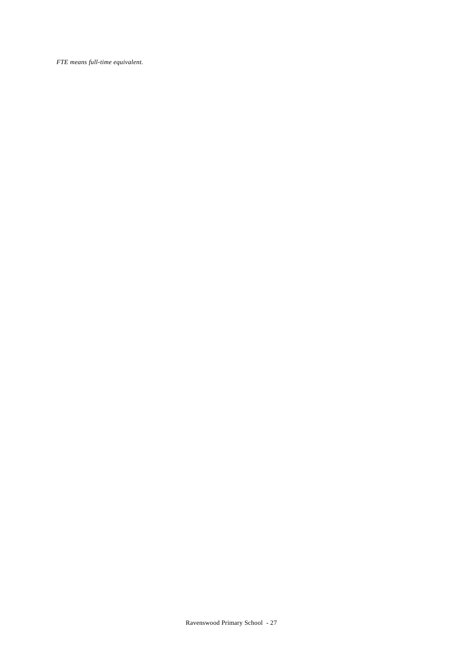*FTE means full-time equivalent.*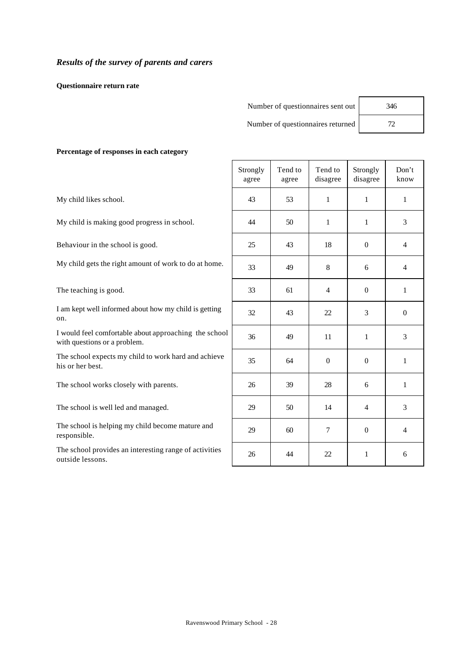**Questionnaire return rate**

| Number of questionnaires sent out | 346 |
|-----------------------------------|-----|
| Number of questionnaires returned |     |

#### **Percentage of responses in each category**

My child likes school.

My child is making good progress in school.

Behaviour in the school is good.

My child gets the right amount of work to do at home.

The teaching is good.

I am kept well informed about how my child is getting on.

I would feel comfortable about approaching the schoo with questions or a problem.

The school expects my child to work hard and achieve his or her best.

The school works closely with parents.

The school is well led and managed.

The school is helping my child become mature and responsible.

The school provides an interesting range of activities outside lessons.

|    | Strongly<br>agree | Tend to<br>agree | Tend to<br>disagree      | Strongly<br>disagree    | Don't<br>know    |
|----|-------------------|------------------|--------------------------|-------------------------|------------------|
|    | 43                | 53               | $\,1$                    | $\mathbf{1}$            | $\mathbf{1}$     |
|    | 44                | 50               | $\,1$                    | $\,1$                   | $\mathfrak{Z}$   |
|    | 25                | 43               | 18                       | $\boldsymbol{0}$        | $\overline{4}$   |
|    | 33                | 49               | 8                        | 6                       | $\overline{4}$   |
|    | 33                | 61               | $\overline{\mathcal{L}}$ | $\boldsymbol{0}$        | $\mathbf{1}$     |
|    | 32                | 43               | 22                       | 3                       | $\boldsymbol{0}$ |
| ρl | 36                | 49               | 11                       | $\,1$                   | $\mathfrak{Z}$   |
|    | 35                | 64               | $\boldsymbol{0}$         | $\boldsymbol{0}$        | $\,1$            |
|    | 26                | 39               | 28                       | 6                       | $\mathbf{1}$     |
|    | 29                | 50               | 14                       | $\overline{\mathbf{4}}$ | $\mathfrak{Z}$   |
|    | 29                | 60               | $\overline{7}$           | $\overline{0}$          | $\overline{4}$   |
|    | 26                | 44               | 22                       | $\mathbf{1}$            | 6                |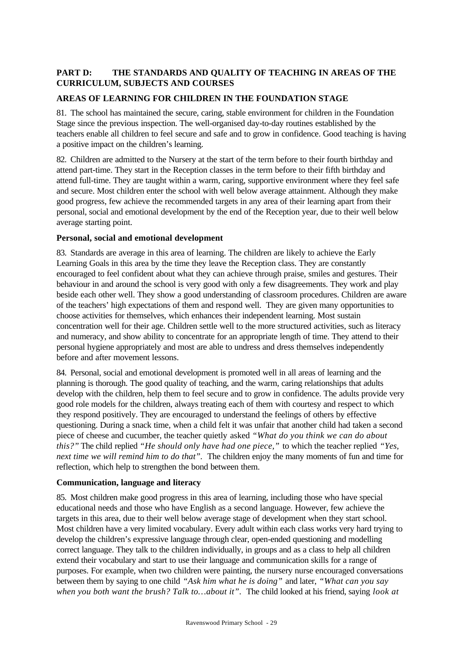# **PART D: THE STANDARDS AND QUALITY OF TEACHING IN AREAS OF THE CURRICULUM, SUBJECTS AND COURSES**

# **AREAS OF LEARNING FOR CHILDREN IN THE FOUNDATION STAGE**

81. The school has maintained the secure, caring, stable environment for children in the Foundation Stage since the previous inspection. The well-organised day-to-day routines established by the teachers enable all children to feel secure and safe and to grow in confidence. Good teaching is having a positive impact on the children's learning.

82. Children are admitted to the Nursery at the start of the term before to their fourth birthday and attend part-time. They start in the Reception classes in the term before to their fifth birthday and attend full-time. They are taught within a warm, caring, supportive environment where they feel safe and secure. Most children enter the school with well below average attainment. Although they make good progress, few achieve the recommended targets in any area of their learning apart from their personal, social and emotional development by the end of the Reception year, due to their well below average starting point.

# **Personal, social and emotional development**

83. Standards are average in this area of learning. The children are likely to achieve the Early Learning Goals in this area by the time they leave the Reception class. They are constantly encouraged to feel confident about what they can achieve through praise, smiles and gestures. Their behaviour in and around the school is very good with only a few disagreements. They work and play beside each other well. They show a good understanding of classroom procedures. Children are aware of the teachers' high expectations of them and respond well. They are given many opportunities to choose activities for themselves, which enhances their independent learning. Most sustain concentration well for their age. Children settle well to the more structured activities, such as literacy and numeracy, and show ability to concentrate for an appropriate length of time. They attend to their personal hygiene appropriately and most are able to undress and dress themselves independently before and after movement lessons.

84. Personal, social and emotional development is promoted well in all areas of learning and the planning is thorough. The good quality of teaching, and the warm, caring relationships that adults develop with the children, help them to feel secure and to grow in confidence. The adults provide very good role models for the children, always treating each of them with courtesy and respect to which they respond positively. They are encouraged to understand the feelings of others by effective questioning. During a snack time, when a child felt it was unfair that another child had taken a second piece of cheese and cucumber, the teacher quietly asked *"What do you think we can do about this?"* The child replied *"He should only have had one piece,"* to which the teacher replied *"Yes, next time we will remind him to do that".* The children enjoy the many moments of fun and time for reflection, which help to strengthen the bond between them.

# **Communication, language and literacy**

85. Most children make good progress in this area of learning, including those who have special educational needs and those who have English as a second language. However, few achieve the targets in this area, due to their well below average stage of development when they start school. Most children have a very limited vocabulary. Every adult within each class works very hard trying to develop the children's expressive language through clear, open-ended questioning and modelling correct language. They talk to the children individually, in groups and as a class to help all children extend their vocabulary and start to use their language and communication skills for a range of purposes. For example, when two children were painting, the nursery nurse encouraged conversations between them by saying to one child *"Ask him what he is doing"* and later, *"What can you say when you both want the brush? Talk to…about it".* The child looked at his friend, saying *look at*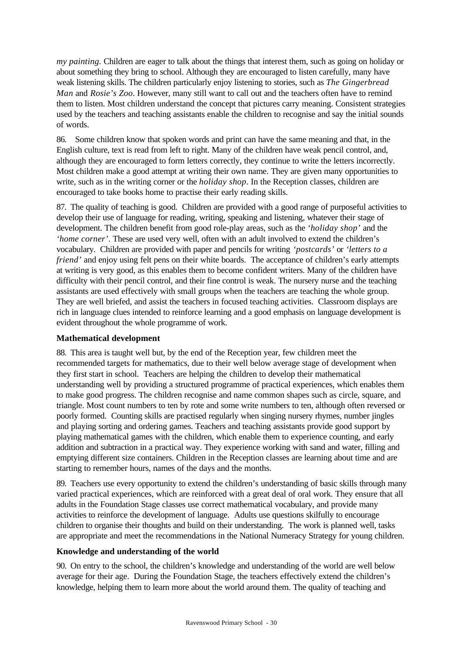*my painting.* Children are eager to talk about the things that interest them, such as going on holiday or about something they bring to school. Although they are encouraged to listen carefully, many have weak listening skills. The children particularly enjoy listening to stories, such as *The Gingerbread Man* and *Rosie's Zoo*. However, many still want to call out and the teachers often have to remind them to listen. Most children understand the concept that pictures carry meaning. Consistent strategies used by the teachers and teaching assistants enable the children to recognise and say the initial sounds of words.

86. Some children know that spoken words and print can have the same meaning and that, in the English culture, text is read from left to right. Many of the children have weak pencil control, and, although they are encouraged to form letters correctly, they continue to write the letters incorrectly. Most children make a good attempt at writing their own name. They are given many opportunities to write, such as in the writing corner or the *holiday shop*. In the Reception classes, children are encouraged to take books home to practise their early reading skills.

87. The quality of teaching is good. Children are provided with a good range of purposeful activities to develop their use of language for reading, writing, speaking and listening, whatever their stage of development. The children benefit from good role-play areas, such as the *'holiday shop'* and the *'home corner'*. These are used very well, often with an adult involved to extend the children's vocabulary. Children are provided with paper and pencils for writing *'postcards'* or *'letters to a friend'* and enjoy using felt pens on their white boards. The acceptance of children's early attempts at writing is very good, as this enables them to become confident writers. Many of the children have difficulty with their pencil control, and their fine control is weak. The nursery nurse and the teaching assistants are used effectively with small groups when the teachers are teaching the whole group. They are well briefed, and assist the teachers in focused teaching activities. Classroom displays are rich in language clues intended to reinforce learning and a good emphasis on language development is evident throughout the whole programme of work.

## **Mathematical development**

88. This area is taught well but, by the end of the Reception year, few children meet the recommended targets for mathematics, due to their well below average stage of development when they first start in school. Teachers are helping the children to develop their mathematical understanding well by providing a structured programme of practical experiences, which enables them to make good progress. The children recognise and name common shapes such as circle, square, and triangle. Most count numbers to ten by rote and some write numbers to ten, although often reversed or poorly formed. Counting skills are practised regularly when singing nursery rhymes, number jingles and playing sorting and ordering games. Teachers and teaching assistants provide good support by playing mathematical games with the children, which enable them to experience counting, and early addition and subtraction in a practical way. They experience working with sand and water, filling and emptying different size containers. Children in the Reception classes are learning about time and are starting to remember hours, names of the days and the months.

89. Teachers use every opportunity to extend the children's understanding of basic skills through many varied practical experiences, which are reinforced with a great deal of oral work. They ensure that all adults in the Foundation Stage classes use correct mathematical vocabulary, and provide many activities to reinforce the development of language. Adults use questions skilfully to encourage children to organise their thoughts and build on their understanding. The work is planned well, tasks are appropriate and meet the recommendations in the National Numeracy Strategy for young children.

# **Knowledge and understanding of the world**

90. On entry to the school, the children's knowledge and understanding of the world are well below average for their age. During the Foundation Stage, the teachers effectively extend the children's knowledge, helping them to learn more about the world around them. The quality of teaching and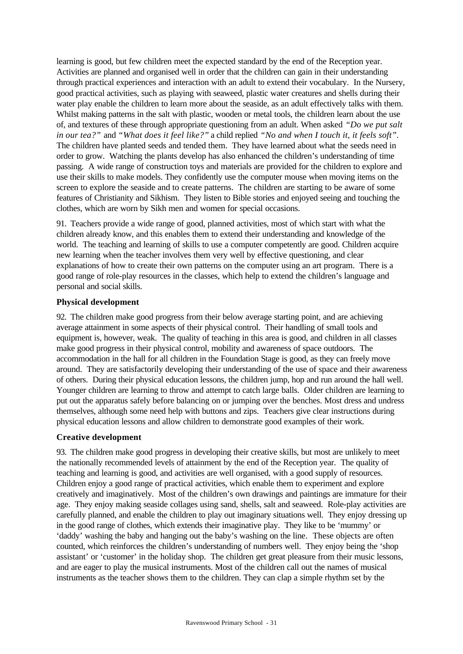learning is good, but few children meet the expected standard by the end of the Reception year. Activities are planned and organised well in order that the children can gain in their understanding through practical experiences and interaction with an adult to extend their vocabulary. In the Nursery, good practical activities, such as playing with seaweed, plastic water creatures and shells during their water play enable the children to learn more about the seaside, as an adult effectively talks with them. Whilst making patterns in the salt with plastic, wooden or metal tools, the children learn about the use of, and textures of these through appropriate questioning from an adult. When asked *"Do we put salt in our tea?"* and *"What does it feel like?"* a child replied *"No and when I touch it, it feels soft".* The children have planted seeds and tended them. They have learned about what the seeds need in order to grow. Watching the plants develop has also enhanced the children's understanding of time passing. A wide range of construction toys and materials are provided for the children to explore and use their skills to make models. They confidently use the computer mouse when moving items on the screen to explore the seaside and to create patterns. The children are starting to be aware of some features of Christianity and Sikhism. They listen to Bible stories and enjoyed seeing and touching the clothes, which are worn by Sikh men and women for special occasions.

91. Teachers provide a wide range of good, planned activities, most of which start with what the children already know, and this enables them to extend their understanding and knowledge of the world. The teaching and learning of skills to use a computer competently are good. Children acquire new learning when the teacher involves them very well by effective questioning, and clear explanations of how to create their own patterns on the computer using an art program. There is a good range of role-play resources in the classes, which help to extend the children's language and personal and social skills.

## **Physical development**

92. The children make good progress from their below average starting point, and are achieving average attainment in some aspects of their physical control. Their handling of small tools and equipment is, however, weak. The quality of teaching in this area is good, and children in all classes make good progress in their physical control, mobility and awareness of space outdoors. The accommodation in the hall for all children in the Foundation Stage is good, as they can freely move around. They are satisfactorily developing their understanding of the use of space and their awareness of others. During their physical education lessons, the children jump, hop and run around the hall well. Younger children are learning to throw and attempt to catch large balls. Older children are learning to put out the apparatus safely before balancing on or jumping over the benches. Most dress and undress themselves, although some need help with buttons and zips. Teachers give clear instructions during physical education lessons and allow children to demonstrate good examples of their work.

## **Creative development**

93. The children make good progress in developing their creative skills, but most are unlikely to meet the nationally recommended levels of attainment by the end of the Reception year. The quality of teaching and learning is good, and activities are well organised, with a good supply of resources. Children enjoy a good range of practical activities, which enable them to experiment and explore creatively and imaginatively. Most of the children's own drawings and paintings are immature for their age. They enjoy making seaside collages using sand, shells, salt and seaweed. Role-play activities are carefully planned, and enable the children to play out imaginary situations well. They enjoy dressing up in the good range of clothes, which extends their imaginative play. They like to be 'mummy' or 'daddy' washing the baby and hanging out the baby's washing on the line*.* These objects are often counted, which reinforces the children's understanding of numbers well. They enjoy being the 'shop assistant' or 'customer' in the holiday shop. The children get great pleasure from their music lessons, and are eager to play the musical instruments. Most of the children call out the names of musical instruments as the teacher shows them to the children. They can clap a simple rhythm set by the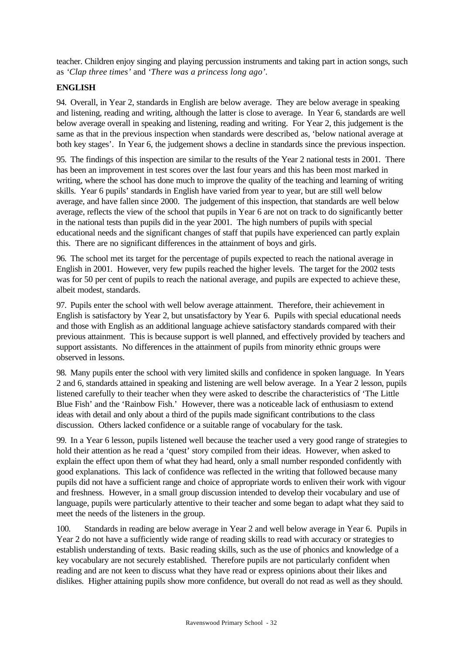teacher. Children enjoy singing and playing percussion instruments and taking part in action songs, such as *'Clap three times'* and *'There was a princess long ago'.*

# **ENGLISH**

94. Overall, in Year 2, standards in English are below average. They are below average in speaking and listening, reading and writing, although the latter is close to average. In Year 6, standards are well below average overall in speaking and listening, reading and writing. For Year 2, this judgement is the same as that in the previous inspection when standards were described as, 'below national average at both key stages'. In Year 6, the judgement shows a decline in standards since the previous inspection.

95. The findings of this inspection are similar to the results of the Year 2 national tests in 2001. There has been an improvement in test scores over the last four years and this has been most marked in writing, where the school has done much to improve the quality of the teaching and learning of writing skills. Year 6 pupils' standards in English have varied from year to year, but are still well below average, and have fallen since 2000. The judgement of this inspection, that standards are well below average, reflects the view of the school that pupils in Year 6 are not on track to do significantly better in the national tests than pupils did in the year 2001. The high numbers of pupils with special educational needs and the significant changes of staff that pupils have experienced can partly explain this. There are no significant differences in the attainment of boys and girls.

96. The school met its target for the percentage of pupils expected to reach the national average in English in 2001. However, very few pupils reached the higher levels. The target for the 2002 tests was for 50 per cent of pupils to reach the national average, and pupils are expected to achieve these, albeit modest, standards.

97. Pupils enter the school with well below average attainment. Therefore, their achievement in English is satisfactory by Year 2, but unsatisfactory by Year 6. Pupils with special educational needs and those with English as an additional language achieve satisfactory standards compared with their previous attainment. This is because support is well planned, and effectively provided by teachers and support assistants. No differences in the attainment of pupils from minority ethnic groups were observed in lessons.

98. Many pupils enter the school with very limited skills and confidence in spoken language. In Years 2 and 6, standards attained in speaking and listening are well below average. In a Year 2 lesson, pupils listened carefully to their teacher when they were asked to describe the characteristics of 'The Little Blue Fish' and the 'Rainbow Fish.' However, there was a noticeable lack of enthusiasm to extend ideas with detail and only about a third of the pupils made significant contributions to the class discussion. Others lacked confidence or a suitable range of vocabulary for the task.

99. In a Year 6 lesson, pupils listened well because the teacher used a very good range of strategies to hold their attention as he read a 'quest' story compiled from their ideas. However, when asked to explain the effect upon them of what they had heard, only a small number responded confidently with good explanations. This lack of confidence was reflected in the writing that followed because many pupils did not have a sufficient range and choice of appropriate words to enliven their work with vigour and freshness. However, in a small group discussion intended to develop their vocabulary and use of language, pupils were particularly attentive to their teacher and some began to adapt what they said to meet the needs of the listeners in the group.

100. Standards in reading are below average in Year 2 and well below average in Year 6. Pupils in Year 2 do not have a sufficiently wide range of reading skills to read with accuracy or strategies to establish understanding of texts. Basic reading skills, such as the use of phonics and knowledge of a key vocabulary are not securely established. Therefore pupils are not particularly confident when reading and are not keen to discuss what they have read or express opinions about their likes and dislikes. Higher attaining pupils show more confidence, but overall do not read as well as they should.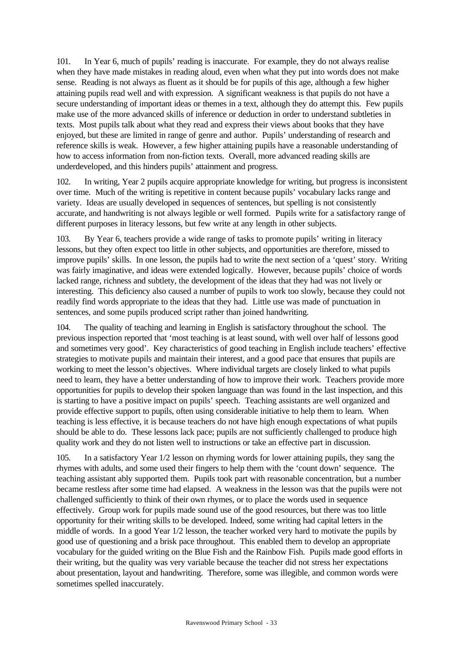101. In Year 6, much of pupils' reading is inaccurate. For example, they do not always realise when they have made mistakes in reading aloud, even when what they put into words does not make sense. Reading is not always as fluent as it should be for pupils of this age, although a few higher attaining pupils read well and with expression. A significant weakness is that pupils do not have a secure understanding of important ideas or themes in a text, although they do attempt this. Few pupils make use of the more advanced skills of inference or deduction in order to understand subtleties in texts. Most pupils talk about what they read and express their views about books that they have enjoyed, but these are limited in range of genre and author. Pupils' understanding of research and reference skills is weak. However, a few higher attaining pupils have a reasonable understanding of how to access information from non-fiction texts. Overall, more advanced reading skills are underdeveloped, and this hinders pupils' attainment and progress.

102. In writing, Year 2 pupils acquire appropriate knowledge for writing, but progress is inconsistent over time. Much of the writing is repetitive in content because pupils' vocabulary lacks range and variety. Ideas are usually developed in sequences of sentences, but spelling is not consistently accurate, and handwriting is not always legible or well formed. Pupils write for a satisfactory range of different purposes in literacy lessons, but few write at any length in other subjects.

103. By Year 6, teachers provide a wide range of tasks to promote pupils' writing in literacy lessons, but they often expect too little in other subjects, and opportunities are therefore, missed to improve pupils' skills. In one lesson, the pupils had to write the next section of a 'quest' story. Writing was fairly imaginative, and ideas were extended logically. However, because pupils' choice of words lacked range, richness and subtlety, the development of the ideas that they had was not lively or interesting. This deficiency also caused a number of pupils to work too slowly, because they could not readily find words appropriate to the ideas that they had. Little use was made of punctuation in sentences, and some pupils produced script rather than joined handwriting.

104. The quality of teaching and learning in English is satisfactory throughout the school. The previous inspection reported that 'most teaching is at least sound, with well over half of lessons good and sometimes very good'. Key characteristics of good teaching in English include teachers' effective strategies to motivate pupils and maintain their interest, and a good pace that ensures that pupils are working to meet the lesson's objectives. Where individual targets are closely linked to what pupils need to learn, they have a better understanding of how to improve their work. Teachers provide more opportunities for pupils to develop their spoken language than was found in the last inspection, and this is starting to have a positive impact on pupils' speech. Teaching assistants are well organized and provide effective support to pupils, often using considerable initiative to help them to learn. When teaching is less effective, it is because teachers do not have high enough expectations of what pupils should be able to do. These lessons lack pace; pupils are not sufficiently challenged to produce high quality work and they do not listen well to instructions or take an effective part in discussion.

105. In a satisfactory Year 1/2 lesson on rhyming words for lower attaining pupils, they sang the rhymes with adults, and some used their fingers to help them with the 'count down' sequence. The teaching assistant ably supported them. Pupils took part with reasonable concentration, but a number became restless after some time had elapsed. A weakness in the lesson was that the pupils were not challenged sufficiently to think of their own rhymes, or to place the words used in sequence effectively. Group work for pupils made sound use of the good resources, but there was too little opportunity for their writing skills to be developed. Indeed, some writing had capital letters in the middle of words. In a good Year 1/2 lesson, the teacher worked very hard to motivate the pupils by good use of questioning and a brisk pace throughout. This enabled them to develop an appropriate vocabulary for the guided writing on the Blue Fish and the Rainbow Fish. Pupils made good efforts in their writing, but the quality was very variable because the teacher did not stress her expectations about presentation, layout and handwriting. Therefore, some was illegible, and common words were sometimes spelled inaccurately.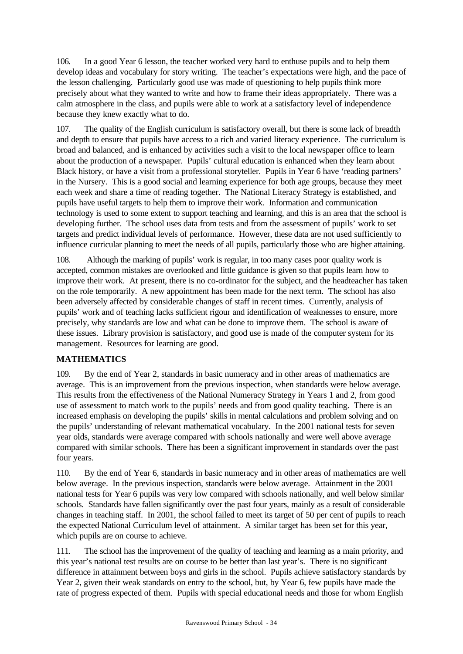106. In a good Year 6 lesson, the teacher worked very hard to enthuse pupils and to help them develop ideas and vocabulary for story writing. The teacher's expectations were high, and the pace of the lesson challenging. Particularly good use was made of questioning to help pupils think more precisely about what they wanted to write and how to frame their ideas appropriately. There was a calm atmosphere in the class, and pupils were able to work at a satisfactory level of independence because they knew exactly what to do.

107. The quality of the English curriculum is satisfactory overall, but there is some lack of breadth and depth to ensure that pupils have access to a rich and varied literacy experience. The curriculum is broad and balanced, and is enhanced by activities such a visit to the local newspaper office to learn about the production of a newspaper. Pupils' cultural education is enhanced when they learn about Black history, or have a visit from a professional storyteller. Pupils in Year 6 have 'reading partners' in the Nursery. This is a good social and learning experience for both age groups, because they meet each week and share a time of reading together. The National Literacy Strategy is established, and pupils have useful targets to help them to improve their work. Information and communication technology is used to some extent to support teaching and learning, and this is an area that the school is developing further. The school uses data from tests and from the assessment of pupils' work to set targets and predict individual levels of performance. However, these data are not used sufficiently to influence curricular planning to meet the needs of all pupils, particularly those who are higher attaining.

108. Although the marking of pupils' work is regular, in too many cases poor quality work is accepted, common mistakes are overlooked and little guidance is given so that pupils learn how to improve their work. At present, there is no co-ordinator for the subject, and the headteacher has taken on the role temporarily. A new appointment has been made for the next term. The school has also been adversely affected by considerable changes of staff in recent times. Currently, analysis of pupils' work and of teaching lacks sufficient rigour and identification of weaknesses to ensure, more precisely, why standards are low and what can be done to improve them. The school is aware of these issues. Library provision is satisfactory, and good use is made of the computer system for its management. Resources for learning are good.

# **MATHEMATICS**

109. By the end of Year 2, standards in basic numeracy and in other areas of mathematics are average. This is an improvement from the previous inspection, when standards were below average. This results from the effectiveness of the National Numeracy Strategy in Years 1 and 2, from good use of assessment to match work to the pupils' needs and from good quality teaching. There is an increased emphasis on developing the pupils' skills in mental calculations and problem solving and on the pupils' understanding of relevant mathematical vocabulary. In the 2001 national tests for seven year olds, standards were average compared with schools nationally and were well above average compared with similar schools. There has been a significant improvement in standards over the past four years.

110. By the end of Year 6, standards in basic numeracy and in other areas of mathematics are well below average. In the previous inspection, standards were below average. Attainment in the 2001 national tests for Year 6 pupils was very low compared with schools nationally, and well below similar schools. Standards have fallen significantly over the past four years, mainly as a result of considerable changes in teaching staff. In 2001, the school failed to meet its target of 50 per cent of pupils to reach the expected National Curriculum level of attainment. A similar target has been set for this year, which pupils are on course to achieve.

111. The school has the improvement of the quality of teaching and learning as a main priority, and this year's national test results are on course to be better than last year's. There is no significant difference in attainment between boys and girls in the school. Pupils achieve satisfactory standards by Year 2, given their weak standards on entry to the school, but, by Year 6, few pupils have made the rate of progress expected of them. Pupils with special educational needs and those for whom English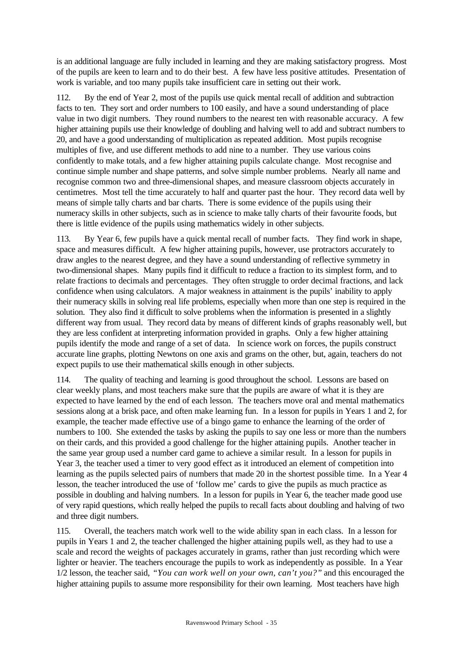is an additional language are fully included in learning and they are making satisfactory progress. Most of the pupils are keen to learn and to do their best. A few have less positive attitudes. Presentation of work is variable, and too many pupils take insufficient care in setting out their work.

112. By the end of Year 2, most of the pupils use quick mental recall of addition and subtraction facts to ten. They sort and order numbers to 100 easily, and have a sound understanding of place value in two digit numbers. They round numbers to the nearest ten with reasonable accuracy. A few higher attaining pupils use their knowledge of doubling and halving well to add and subtract numbers to 20, and have a good understanding of multiplication as repeated addition. Most pupils recognise multiples of five, and use different methods to add nine to a number. They use various coins confidently to make totals, and a few higher attaining pupils calculate change. Most recognise and continue simple number and shape patterns, and solve simple number problems. Nearly all name and recognise common two and three-dimensional shapes, and measure classroom objects accurately in centimetres. Most tell the time accurately to half and quarter past the hour. They record data well by means of simple tally charts and bar charts. There is some evidence of the pupils using their numeracy skills in other subjects, such as in science to make tally charts of their favourite foods, but there is little evidence of the pupils using mathematics widely in other subjects.

113. By Year 6, few pupils have a quick mental recall of number facts. They find work in shape, space and measures difficult. A few higher attaining pupils, however, use protractors accurately to draw angles to the nearest degree, and they have a sound understanding of reflective symmetry in two-dimensional shapes. Many pupils find it difficult to reduce a fraction to its simplest form, and to relate fractions to decimals and percentages. They often struggle to order decimal fractions, and lack confidence when using calculators. A major weakness in attainment is the pupils' inability to apply their numeracy skills in solving real life problems, especially when more than one step is required in the solution. They also find it difficult to solve problems when the information is presented in a slightly different way from usual. They record data by means of different kinds of graphs reasonably well, but they are less confident at interpreting information provided in graphs. Only a few higher attaining pupils identify the mode and range of a set of data. In science work on forces, the pupils construct accurate line graphs, plotting Newtons on one axis and grams on the other, but, again, teachers do not expect pupils to use their mathematical skills enough in other subjects.

114. The quality of teaching and learning is good throughout the school. Lessons are based on clear weekly plans, and most teachers make sure that the pupils are aware of what it is they are expected to have learned by the end of each lesson. The teachers move oral and mental mathematics sessions along at a brisk pace, and often make learning fun. In a lesson for pupils in Years 1 and 2, for example, the teacher made effective use of a bingo game to enhance the learning of the order of numbers to 100. She extended the tasks by asking the pupils to say one less or more than the numbers on their cards, and this provided a good challenge for the higher attaining pupils. Another teacher in the same year group used a number card game to achieve a similar result. In a lesson for pupils in Year 3, the teacher used a timer to very good effect as it introduced an element of competition into learning as the pupils selected pairs of numbers that made 20 in the shortest possible time. In a Year 4 lesson, the teacher introduced the use of 'follow me' cards to give the pupils as much practice as possible in doubling and halving numbers. In a lesson for pupils in Year 6, the teacher made good use of very rapid questions, which really helped the pupils to recall facts about doubling and halving of two and three digit numbers.

115. Overall, the teachers match work well to the wide ability span in each class. In a lesson for pupils in Years 1 and 2, the teacher challenged the higher attaining pupils well, as they had to use a scale and record the weights of packages accurately in grams, rather than just recording which were lighter or heavier. The teachers encourage the pupils to work as independently as possible. In a Year 1/2 lesson, the teacher said, *"You can work well on your own, can't you?"* and this encouraged the higher attaining pupils to assume more responsibility for their own learning. Most teachers have high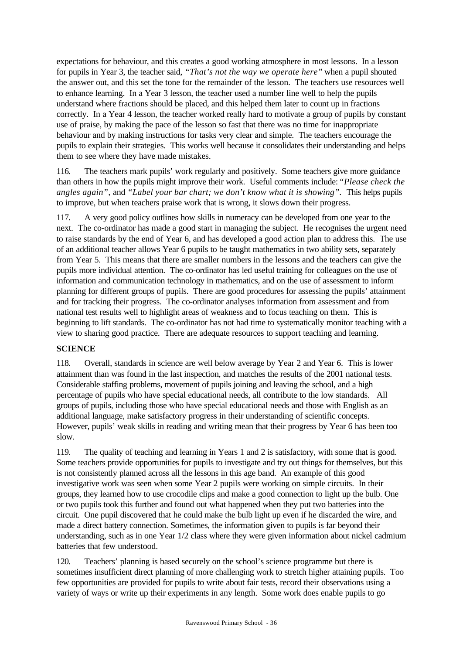expectations for behaviour, and this creates a good working atmosphere in most lessons. In a lesson for pupils in Year 3, the teacher said, *"That's not the way we operate here"* when a pupil shouted the answer out, and this set the tone for the remainder of the lesson. The teachers use resources well to enhance learning. In a Year 3 lesson, the teacher used a number line well to help the pupils understand where fractions should be placed, and this helped them later to count up in fractions correctly. In a Year 4 lesson, the teacher worked really hard to motivate a group of pupils by constant use of praise, by making the pace of the lesson so fast that there was no time for inappropriate behaviour and by making instructions for tasks very clear and simple. The teachers encourage the pupils to explain their strategies. This works well because it consolidates their understanding and helps them to see where they have made mistakes.

116. The teachers mark pupils' work regularly and positively. Some teachers give more guidance than others in how the pupils might improve their work. Useful comments include: *"Please check the angles again",* and *"Label your bar chart; we don't know what it is showing".* This helps pupils to improve, but when teachers praise work that is wrong, it slows down their progress.

117. A very good policy outlines how skills in numeracy can be developed from one year to the next. The co-ordinator has made a good start in managing the subject. He recognises the urgent need to raise standards by the end of Year 6, and has developed a good action plan to address this. The use of an additional teacher allows Year 6 pupils to be taught mathematics in two ability sets, separately from Year 5. This means that there are smaller numbers in the lessons and the teachers can give the pupils more individual attention. The co-ordinator has led useful training for colleagues on the use of information and communication technology in mathematics, and on the use of assessment to inform planning for different groups of pupils. There are good procedures for assessing the pupils' attainment and for tracking their progress. The co-ordinator analyses information from assessment and from national test results well to highlight areas of weakness and to focus teaching on them. This is beginning to lift standards. The co-ordinator has not had time to systematically monitor teaching with a view to sharing good practice. There are adequate resources to support teaching and learning.

# **SCIENCE**

118. Overall, standards in science are well below average by Year 2 and Year 6. This is lower attainment than was found in the last inspection, and matches the results of the 2001 national tests. Considerable staffing problems, movement of pupils joining and leaving the school, and a high percentage of pupils who have special educational needs, all contribute to the low standards. All groups of pupils, including those who have special educational needs and those with English as an additional language, make satisfactory progress in their understanding of scientific concepts. However, pupils' weak skills in reading and writing mean that their progress by Year 6 has been too slow.

119. The quality of teaching and learning in Years 1 and 2 is satisfactory, with some that is good. Some teachers provide opportunities for pupils to investigate and try out things for themselves, but this is not consistently planned across all the lessons in this age band. An example of this good investigative work was seen when some Year 2 pupils were working on simple circuits. In their groups, they learned how to use crocodile clips and make a good connection to light up the bulb. One or two pupils took this further and found out what happened when they put two batteries into the circuit. One pupil discovered that he could make the bulb light up even if he discarded the wire, and made a direct battery connection. Sometimes, the information given to pupils is far beyond their understanding, such as in one Year 1/2 class where they were given information about nickel cadmium batteries that few understood.

120. Teachers' planning is based securely on the school's science programme but there is sometimes insufficient direct planning of more challenging work to stretch higher attaining pupils. Too few opportunities are provided for pupils to write about fair tests, record their observations using a variety of ways or write up their experiments in any length. Some work does enable pupils to go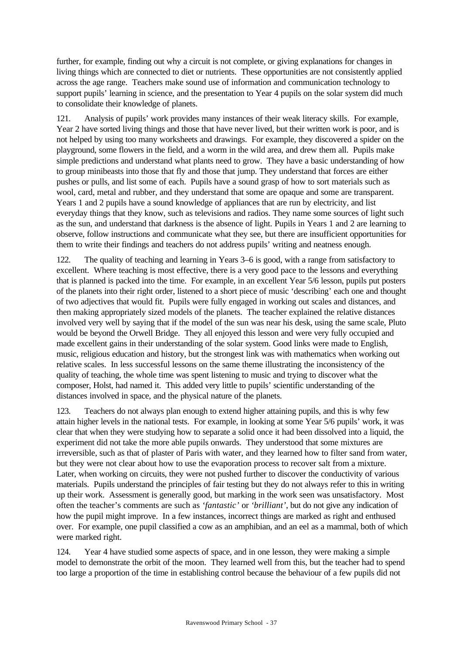further, for example, finding out why a circuit is not complete, or giving explanations for changes in living things which are connected to diet or nutrients. These opportunities are not consistently applied across the age range. Teachers make sound use of information and communication technology to support pupils' learning in science, and the presentation to Year 4 pupils on the solar system did much to consolidate their knowledge of planets.

121. Analysis of pupils' work provides many instances of their weak literacy skills. For example, Year 2 have sorted living things and those that have never lived, but their written work is poor, and is not helped by using too many worksheets and drawings. For example, they discovered a spider on the playground, some flowers in the field, and a worm in the wild area, and drew them all. Pupils make simple predictions and understand what plants need to grow. They have a basic understanding of how to group minibeasts into those that fly and those that jump. They understand that forces are either pushes or pulls, and list some of each. Pupils have a sound grasp of how to sort materials such as wool, card, metal and rubber, and they understand that some are opaque and some are transparent. Years 1 and 2 pupils have a sound knowledge of appliances that are run by electricity, and list everyday things that they know, such as televisions and radios. They name some sources of light such as the sun, and understand that darkness is the absence of light. Pupils in Years 1 and 2 are learning to observe, follow instructions and communicate what they see, but there are insufficient opportunities for them to write their findings and teachers do not address pupils' writing and neatness enough.

122. The quality of teaching and learning in Years 3–6 is good, with a range from satisfactory to excellent. Where teaching is most effective, there is a very good pace to the lessons and everything that is planned is packed into the time. For example, in an excellent Year 5/6 lesson, pupils put posters of the planets into their right order, listened to a short piece of music 'describing' each one and thought of two adjectives that would fit. Pupils were fully engaged in working out scales and distances, and then making appropriately sized models of the planets. The teacher explained the relative distances involved very well by saying that if the model of the sun was near his desk, using the same scale, Pluto would be beyond the Orwell Bridge. They all enjoyed this lesson and were very fully occupied and made excellent gains in their understanding of the solar system. Good links were made to English, music, religious education and history, but the strongest link was with mathematics when working out relative scales. In less successful lessons on the same theme illustrating the inconsistency of the quality of teaching, the whole time was spent listening to music and trying to discover what the composer, Holst, had named it. This added very little to pupils' scientific understanding of the distances involved in space, and the physical nature of the planets.

123. Teachers do not always plan enough to extend higher attaining pupils, and this is why few attain higher levels in the national tests. For example, in looking at some Year 5/6 pupils' work, it was clear that when they were studying how to separate a solid once it had been dissolved into a liquid, the experiment did not take the more able pupils onwards. They understood that some mixtures are irreversible, such as that of plaster of Paris with water, and they learned how to filter sand from water, but they were not clear about how to use the evaporation process to recover salt from a mixture. Later, when working on circuits, they were not pushed further to discover the conductivity of various materials. Pupils understand the principles of fair testing but they do not always refer to this in writing up their work. Assessment is generally good, but marking in the work seen was unsatisfactory. Most often the teacher's comments are such as *'fantastic'* or *'brilliant'*, but do not give any indication of how the pupil might improve. In a few instances, incorrect things are marked as right and enthused over. For example, one pupil classified a cow as an amphibian, and an eel as a mammal, both of which were marked right.

124. Year 4 have studied some aspects of space, and in one lesson, they were making a simple model to demonstrate the orbit of the moon. They learned well from this, but the teacher had to spend too large a proportion of the time in establishing control because the behaviour of a few pupils did not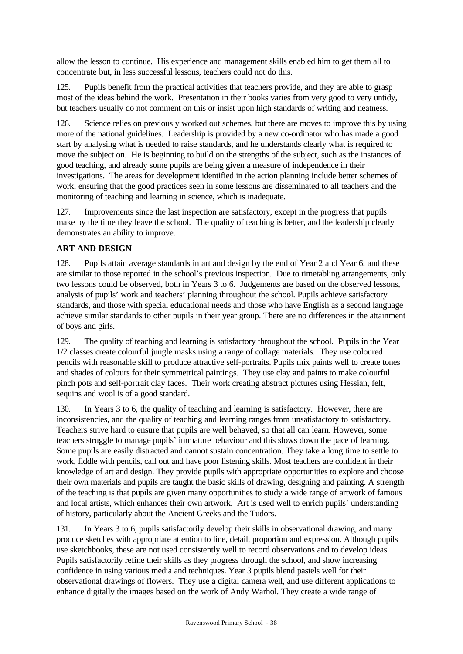allow the lesson to continue. His experience and management skills enabled him to get them all to concentrate but, in less successful lessons, teachers could not do this.

125. Pupils benefit from the practical activities that teachers provide, and they are able to grasp most of the ideas behind the work. Presentation in their books varies from very good to very untidy, but teachers usually do not comment on this or insist upon high standards of writing and neatness.

126. Science relies on previously worked out schemes, but there are moves to improve this by using more of the national guidelines. Leadership is provided by a new co-ordinator who has made a good start by analysing what is needed to raise standards, and he understands clearly what is required to move the subject on. He is beginning to build on the strengths of the subject, such as the instances of good teaching, and already some pupils are being given a measure of independence in their investigations. The areas for development identified in the action planning include better schemes of work, ensuring that the good practices seen in some lessons are disseminated to all teachers and the monitoring of teaching and learning in science, which is inadequate.

127. Improvements since the last inspection are satisfactory, except in the progress that pupils make by the time they leave the school. The quality of teaching is better, and the leadership clearly demonstrates an ability to improve.

# **ART AND DESIGN**

128. Pupils attain average standards in art and design by the end of Year 2 and Year 6, and these are similar to those reported in the school's previous inspection. Due to timetabling arrangements, only two lessons could be observed, both in Years 3 to 6. Judgements are based on the observed lessons, analysis of pupils' work and teachers' planning throughout the school. Pupils achieve satisfactory standards, and those with special educational needs and those who have English as a second language achieve similar standards to other pupils in their year group. There are no differences in the attainment of boys and girls.

129. The quality of teaching and learning is satisfactory throughout the school. Pupils in the Year 1/2 classes create colourful jungle masks using a range of collage materials. They use coloured pencils with reasonable skill to produce attractive self-portraits. Pupils mix paints well to create tones and shades of colours for their symmetrical paintings. They use clay and paints to make colourful pinch pots and self-portrait clay faces. Their work creating abstract pictures using Hessian, felt, sequins and wool is of a good standard.

130. In Years 3 to 6, the quality of teaching and learning is satisfactory. However, there are inconsistencies, and the quality of teaching and learning ranges from unsatisfactory to satisfactory. Teachers strive hard to ensure that pupils are well behaved, so that all can learn. However, some teachers struggle to manage pupils' immature behaviour and this slows down the pace of learning. Some pupils are easily distracted and cannot sustain concentration. They take a long time to settle to work, fiddle with pencils, call out and have poor listening skills. Most teachers are confident in their knowledge of art and design. They provide pupils with appropriate opportunities to explore and choose their own materials and pupils are taught the basic skills of drawing, designing and painting. A strength of the teaching is that pupils are given many opportunities to study a wide range of artwork of famous and local artists, which enhances their own artwork. Art is used well to enrich pupils' understanding of history, particularly about the Ancient Greeks and the Tudors.

131. In Years 3 to 6, pupils satisfactorily develop their skills in observational drawing, and many produce sketches with appropriate attention to line, detail, proportion and expression. Although pupils use sketchbooks, these are not used consistently well to record observations and to develop ideas. Pupils satisfactorily refine their skills as they progress through the school, and show increasing confidence in using various media and techniques. Year 3 pupils blend pastels well for their observational drawings of flowers. They use a digital camera well, and use different applications to enhance digitally the images based on the work of Andy Warhol. They create a wide range of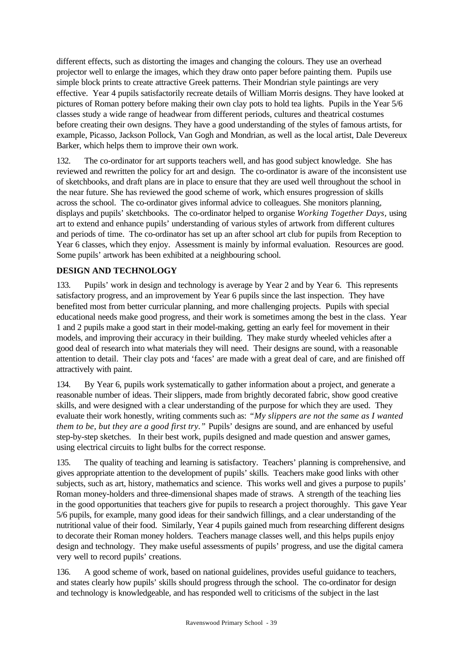different effects, such as distorting the images and changing the colours. They use an overhead projector well to enlarge the images, which they draw onto paper before painting them. Pupils use simple block prints to create attractive Greek patterns. Their Mondrian style paintings are very effective. Year 4 pupils satisfactorily recreate details of William Morris designs. They have looked at pictures of Roman pottery before making their own clay pots to hold tea lights. Pupils in the Year 5/6 classes study a wide range of headwear from different periods, cultures and theatrical costumes before creating their own designs. They have a good understanding of the styles of famous artists, for example, Picasso, Jackson Pollock, Van Gogh and Mondrian, as well as the local artist, Dale Devereux Barker, which helps them to improve their own work.

132. The co-ordinator for art supports teachers well, and has good subject knowledge. She has reviewed and rewritten the policy for art and design. The co-ordinator is aware of the inconsistent use of sketchbooks, and draft plans are in place to ensure that they are used well throughout the school in the near future. She has reviewed the good scheme of work, which ensures progression of skills across the school. The co-ordinator gives informal advice to colleagues. She monitors planning, displays and pupils' sketchbooks. The co-ordinator helped to organise *Working Together Days,* using art to extend and enhance pupils' understanding of various styles of artwork from different cultures and periods of time. The co-ordinator has set up an after school art club for pupils from Reception to Year 6 classes, which they enjoy. Assessment is mainly by informal evaluation. Resources are good. Some pupils' artwork has been exhibited at a neighbouring school.

# **DESIGN AND TECHNOLOGY**

133. Pupils' work in design and technology is average by Year 2 and by Year 6. This represents satisfactory progress, and an improvement by Year 6 pupils since the last inspection. They have benefited most from better curricular planning, and more challenging projects. Pupils with special educational needs make good progress, and their work is sometimes among the best in the class. Year 1 and 2 pupils make a good start in their model-making, getting an early feel for movement in their models, and improving their accuracy in their building. They make sturdy wheeled vehicles after a good deal of research into what materials they will need. Their designs are sound, with a reasonable attention to detail. Their clay pots and 'faces' are made with a great deal of care, and are finished off attractively with paint.

134. By Year 6, pupils work systematically to gather information about a project, and generate a reasonable number of ideas. Their slippers, made from brightly decorated fabric, show good creative skills, and were designed with a clear understanding of the purpose for which they are used. They evaluate their work honestly, writing comments such as: *"My slippers are not the same as I wanted them to be, but they are a good first try."* Pupils' designs are sound, and are enhanced by useful step-by-step sketches. In their best work, pupils designed and made question and answer games, using electrical circuits to light bulbs for the correct response.

135. The quality of teaching and learning is satisfactory. Teachers' planning is comprehensive, and gives appropriate attention to the development of pupils' skills. Teachers make good links with other subjects, such as art, history, mathematics and science. This works well and gives a purpose to pupils' Roman money-holders and three-dimensional shapes made of straws. A strength of the teaching lies in the good opportunities that teachers give for pupils to research a project thoroughly. This gave Year 5/6 pupils, for example, many good ideas for their sandwich fillings, and a clear understanding of the nutritional value of their food. Similarly, Year 4 pupils gained much from researching different designs to decorate their Roman money holders. Teachers manage classes well, and this helps pupils enjoy design and technology. They make useful assessments of pupils' progress, and use the digital camera very well to record pupils' creations.

136. A good scheme of work, based on national guidelines, provides useful guidance to teachers, and states clearly how pupils' skills should progress through the school. The co-ordinator for design and technology is knowledgeable, and has responded well to criticisms of the subject in the last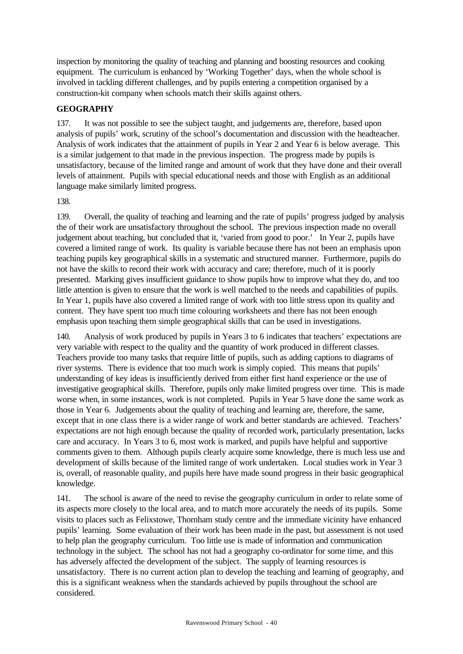inspection by monitoring the quality of teaching and planning and boosting resources and cooking equipment. The curriculum is enhanced by 'Working Together' days, when the whole school is involved in tackling different challenges, and by pupils entering a competition organised by a construction-kit company when schools match their skills against others.

# **GEOGRAPHY**

137. It was not possible to see the subject taught, and judgements are, therefore, based upon analysis of pupils' work, scrutiny of the school's documentation and discussion with the headteacher. Analysis of work indicates that the attainment of pupils in Year 2 and Year 6 is below average. This is a similar judgement to that made in the previous inspection. The progress made by pupils is unsatisfactory, because of the limited range and amount of work that they have done and their overall levels of attainment. Pupils with special educational needs and those with English as an additional language make similarly limited progress.

138.

139. Overall, the quality of teaching and learning and the rate of pupils' progress judged by analysis the of their work are unsatisfactory throughout the school. The previous inspection made no overall judgement about teaching, but concluded that it, 'varied from good to poor.' In Year 2, pupils have covered a limited range of work. Its quality is variable because there has not been an emphasis upon teaching pupils key geographical skills in a systematic and structured manner. Furthermore, pupils do not have the skills to record their work with accuracy and care; therefore, much of it is poorly presented. Marking gives insufficient guidance to show pupils how to improve what they do, and too little attention is given to ensure that the work is well matched to the needs and capabilities of pupils. In Year 1, pupils have also covered a limited range of work with too little stress upon its quality and content. They have spent too much time colouring worksheets and there has not been enough emphasis upon teaching them simple geographical skills that can be used in investigations.

140. Analysis of work produced by pupils in Years 3 to 6 indicates that teachers' expectations are very variable with respect to the quality and the quantity of work produced in different classes. Teachers provide too many tasks that require little of pupils, such as adding captions to diagrams of river systems. There is evidence that too much work is simply copied. This means that pupils' understanding of key ideas is insufficiently derived from either first hand experience or the use of investigative geographical skills. Therefore, pupils only make limited progress over time. This is made worse when, in some instances, work is not completed. Pupils in Year 5 have done the same work as those in Year 6. Judgements about the quality of teaching and learning are, therefore, the same, except that in one class there is a wider range of work and better standards are achieved. Teachers' expectations are not high enough because the quality of recorded work, particularly presentation, lacks care and accuracy. In Years 3 to 6, most work is marked, and pupils have helpful and supportive comments given to them. Although pupils clearly acquire some knowledge, there is much less use and development of skills because of the limited range of work undertaken. Local studies work in Year 3 is, overall, of reasonable quality, and pupils here have made sound progress in their basic geographical knowledge.

141. The school is aware of the need to revise the geography curriculum in order to relate some of its aspects more closely to the local area, and to match more accurately the needs of its pupils. Some visits to places such as Felixstowe, Thornham study centre and the immediate vicinity have enhanced pupils' learning. Some evaluation of their work has been made in the past, but assessment is not used to help plan the geography curriculum. Too little use is made of information and communication technology in the subject. The school has not had a geography co-ordinator for some time, and this has adversely affected the development of the subject. The supply of learning resources is unsatisfactory. There is no current action plan to develop the teaching and learning of geography, and this is a significant weakness when the standards achieved by pupils throughout the school are considered.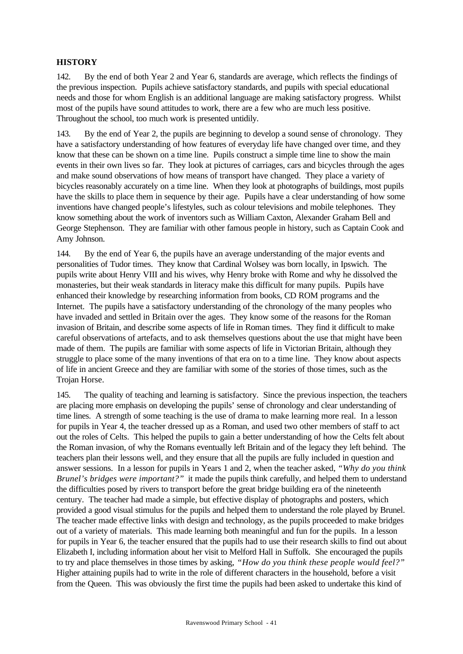# **HISTORY**

142. By the end of both Year 2 and Year 6, standards are average, which reflects the findings of the previous inspection. Pupils achieve satisfactory standards, and pupils with special educational needs and those for whom English is an additional language are making satisfactory progress. Whilst most of the pupils have sound attitudes to work, there are a few who are much less positive. Throughout the school, too much work is presented untidily.

143. By the end of Year 2, the pupils are beginning to develop a sound sense of chronology. They have a satisfactory understanding of how features of everyday life have changed over time, and they know that these can be shown on a time line. Pupils construct a simple time line to show the main events in their own lives so far. They look at pictures of carriages, cars and bicycles through the ages and make sound observations of how means of transport have changed. They place a variety of bicycles reasonably accurately on a time line. When they look at photographs of buildings, most pupils have the skills to place them in sequence by their age. Pupils have a clear understanding of how some inventions have changed people's lifestyles, such as colour televisions and mobile telephones. They know something about the work of inventors such as William Caxton, Alexander Graham Bell and George Stephenson. They are familiar with other famous people in history, such as Captain Cook and Amy Johnson.

144. By the end of Year 6, the pupils have an average understanding of the major events and personalities of Tudor times. They know that Cardinal Wolsey was born locally, in Ipswich. The pupils write about Henry VIII and his wives, why Henry broke with Rome and why he dissolved the monasteries, but their weak standards in literacy make this difficult for many pupils. Pupils have enhanced their knowledge by researching information from books, CD ROM programs and the Internet. The pupils have a satisfactory understanding of the chronology of the many peoples who have invaded and settled in Britain over the ages. They know some of the reasons for the Roman invasion of Britain, and describe some aspects of life in Roman times. They find it difficult to make careful observations of artefacts, and to ask themselves questions about the use that might have been made of them. The pupils are familiar with some aspects of life in Victorian Britain, although they struggle to place some of the many inventions of that era on to a time line. They know about aspects of life in ancient Greece and they are familiar with some of the stories of those times, such as the Trojan Horse.

145. The quality of teaching and learning is satisfactory. Since the previous inspection, the teachers are placing more emphasis on developing the pupils' sense of chronology and clear understanding of time lines. A strength of some teaching is the use of drama to make learning more real. In a lesson for pupils in Year 4, the teacher dressed up as a Roman, and used two other members of staff to act out the roles of Celts. This helped the pupils to gain a better understanding of how the Celts felt about the Roman invasion, of why the Romans eventually left Britain and of the legacy they left behind. The teachers plan their lessons well, and they ensure that all the pupils are fully included in question and answer sessions. In a lesson for pupils in Years 1 and 2, when the teacher asked, *"Why do you think Brunel's bridges were important?"* it made the pupils think carefully, and helped them to understand the difficulties posed by rivers to transport before the great bridge building era of the nineteenth century. The teacher had made a simple, but effective display of photographs and posters, which provided a good visual stimulus for the pupils and helped them to understand the role played by Brunel. The teacher made effective links with design and technology, as the pupils proceeded to make bridges out of a variety of materials. This made learning both meaningful and fun for the pupils. In a lesson for pupils in Year 6, the teacher ensured that the pupils had to use their research skills to find out about Elizabeth I, including information about her visit to Melford Hall in Suffolk. She encouraged the pupils to try and place themselves in those times by asking, *"How do you think these people would feel?"* Higher attaining pupils had to write in the role of different characters in the household, before a visit from the Queen. This was obviously the first time the pupils had been asked to undertake this kind of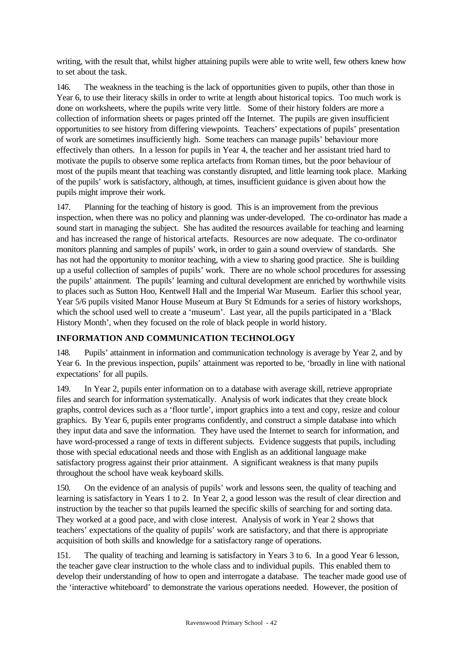writing, with the result that, whilst higher attaining pupils were able to write well, few others knew how to set about the task.

146. The weakness in the teaching is the lack of opportunities given to pupils, other than those in Year 6, to use their literacy skills in order to write at length about historical topics. Too much work is done on worksheets, where the pupils write very little. Some of their history folders are more a collection of information sheets or pages printed off the Internet. The pupils are given insufficient opportunities to see history from differing viewpoints. Teachers' expectations of pupils' presentation of work are sometimes insufficiently high. Some teachers can manage pupils' behaviour more effectively than others. In a lesson for pupils in Year 4, the teacher and her assistant tried hard to motivate the pupils to observe some replica artefacts from Roman times, but the poor behaviour of most of the pupils meant that teaching was constantly disrupted, and little learning took place. Marking of the pupils' work is satisfactory, although, at times, insufficient guidance is given about how the pupils might improve their work.

147. Planning for the teaching of history is good. This is an improvement from the previous inspection, when there was no policy and planning was under-developed. The co-ordinator has made a sound start in managing the subject. She has audited the resources available for teaching and learning and has increased the range of historical artefacts. Resources are now adequate. The co-ordinator monitors planning and samples of pupils' work, in order to gain a sound overview of standards. She has not had the opportunity to monitor teaching, with a view to sharing good practice. She is building up a useful collection of samples of pupils' work. There are no whole school procedures for assessing the pupils' attainment. The pupils' learning and cultural development are enriched by worthwhile visits to places such as Sutton Hoo, Kentwell Hall and the Imperial War Museum. Earlier this school year, Year 5/6 pupils visited Manor House Museum at Bury St Edmunds for a series of history workshops, which the school used well to create a 'museum'. Last year, all the pupils participated in a 'Black History Month', when they focused on the role of black people in world history.

# **INFORMATION AND COMMUNICATION TECHNOLOGY**

148. Pupils' attainment in information and communication technology is average by Year 2, and by Year 6. In the previous inspection, pupils' attainment was reported to be, 'broadly in line with national expectations' for all pupils.

149. In Year 2, pupils enter information on to a database with average skill, retrieve appropriate files and search for information systematically. Analysis of work indicates that they create block graphs, control devices such as a 'floor turtle', import graphics into a text and copy, resize and colour graphics. By Year 6, pupils enter programs confidently, and construct a simple database into which they input data and save the information. They have used the Internet to search for information, and have word-processed a range of texts in different subjects. Evidence suggests that pupils, including those with special educational needs and those with English as an additional language make satisfactory progress against their prior attainment. A significant weakness is that many pupils throughout the school have weak keyboard skills.

150. On the evidence of an analysis of pupils' work and lessons seen, the quality of teaching and learning is satisfactory in Years 1 to 2. In Year 2, a good lesson was the result of clear direction and instruction by the teacher so that pupils learned the specific skills of searching for and sorting data. They worked at a good pace, and with close interest. Analysis of work in Year 2 shows that teachers' expectations of the quality of pupils' work are satisfactory, and that there is appropriate acquisition of both skills and knowledge for a satisfactory range of operations.

151. The quality of teaching and learning is satisfactory in Years 3 to 6. In a good Year 6 lesson, the teacher gave clear instruction to the whole class and to individual pupils. This enabled them to develop their understanding of how to open and interrogate a database. The teacher made good use of the 'interactive whiteboard' to demonstrate the various operations needed. However, the position of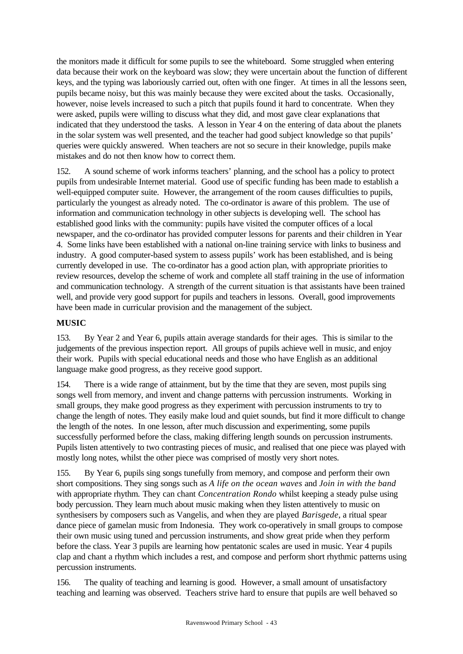the monitors made it difficult for some pupils to see the whiteboard. Some struggled when entering data because their work on the keyboard was slow; they were uncertain about the function of different keys, and the typing was laboriously carried out, often with one finger. At times in all the lessons seen, pupils became noisy, but this was mainly because they were excited about the tasks. Occasionally, however, noise levels increased to such a pitch that pupils found it hard to concentrate. When they were asked, pupils were willing to discuss what they did, and most gave clear explanations that indicated that they understood the tasks. A lesson in Year 4 on the entering of data about the planets in the solar system was well presented, and the teacher had good subject knowledge so that pupils' queries were quickly answered. When teachers are not so secure in their knowledge, pupils make mistakes and do not then know how to correct them.

152. A sound scheme of work informs teachers' planning, and the school has a policy to protect pupils from undesirable Internet material. Good use of specific funding has been made to establish a well-equipped computer suite. However, the arrangement of the room causes difficulties to pupils, particularly the youngest as already noted. The co-ordinator is aware of this problem. The use of information and communication technology in other subjects is developing well. The school has established good links with the community: pupils have visited the computer offices of a local newspaper, and the co-ordinator has provided computer lessons for parents and their children in Year 4. Some links have been established with a national on-line training service with links to business and industry. A good computer-based system to assess pupils' work has been established, and is being currently developed in use. The co-ordinator has a good action plan, with appropriate priorities to review resources, develop the scheme of work and complete all staff training in the use of information and communication technology. A strength of the current situation is that assistants have been trained well, and provide very good support for pupils and teachers in lessons. Overall, good improvements have been made in curricular provision and the management of the subject.

## **MUSIC**

153. By Year 2 and Year 6, pupils attain average standards for their ages. This is similar to the judgements of the previous inspection report. All groups of pupils achieve well in music, and enjoy their work. Pupils with special educational needs and those who have English as an additional language make good progress, as they receive good support.

154. There is a wide range of attainment, but by the time that they are seven, most pupils sing songs well from memory, and invent and change patterns with percussion instruments. Working in small groups, they make good progress as they experiment with percussion instruments to try to change the length of notes. They easily make loud and quiet sounds, but find it more difficult to change the length of the notes. In one lesson, after much discussion and experimenting, some pupils successfully performed before the class, making differing length sounds on percussion instruments. Pupils listen attentively to two contrasting pieces of music, and realised that one piece was played with mostly long notes, whilst the other piece was comprised of mostly very short notes.

155. By Year 6, pupils sing songs tunefully from memory, and compose and perform their own short compositions. They sing songs such as *A life on the ocean waves* and *Join in with the band* with appropriate rhythm*.* They can chant *Concentration Rondo* whilst keeping a steady pulse using body percussion. They learn much about music making when they listen attentively to music on synthesisers by composers such as Vangelis, and when they are played *Barisgede*, a ritual spear dance piece of gamelan music from Indonesia. They work co-operatively in small groups to compose their own music using tuned and percussion instruments, and show great pride when they perform before the class. Year 3 pupils are learning how pentatonic scales are used in music. Year 4 pupils clap and chant a rhythm which includes a rest, and compose and perform short rhythmic patterns using percussion instruments.

156. The quality of teaching and learning is good. However, a small amount of unsatisfactory teaching and learning was observed. Teachers strive hard to ensure that pupils are well behaved so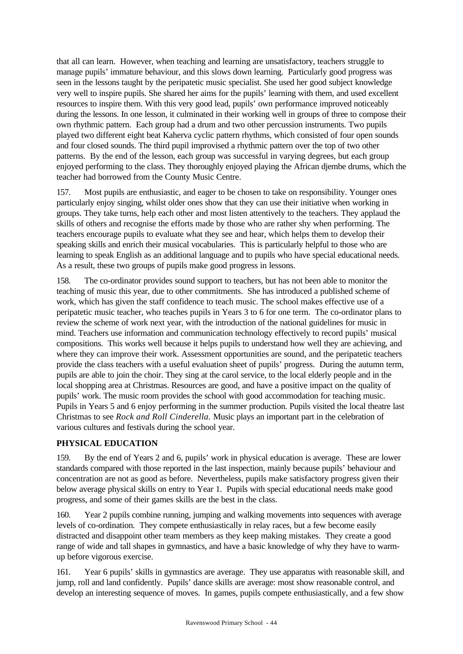that all can learn. However, when teaching and learning are unsatisfactory, teachers struggle to manage pupils' immature behaviour, and this slows down learning. Particularly good progress was seen in the lessons taught by the peripatetic music specialist. She used her good subject knowledge very well to inspire pupils. She shared her aims for the pupils' learning with them, and used excellent resources to inspire them. With this very good lead, pupils' own performance improved noticeably during the lessons. In one lesson, it culminated in their working well in groups of three to compose their own rhythmic pattern. Each group had a drum and two other percussion instruments. Two pupils played two different eight beat Kaherva cyclic pattern rhythms, which consisted of four open sounds and four closed sounds. The third pupil improvised a rhythmic pattern over the top of two other patterns. By the end of the lesson, each group was successful in varying degrees, but each group enjoyed performing to the class. They thoroughly enjoyed playing the African djembe drums, which the teacher had borrowed from the County Music Centre.

157. Most pupils are enthusiastic, and eager to be chosen to take on responsibility. Younger ones particularly enjoy singing, whilst older ones show that they can use their initiative when working in groups. They take turns, help each other and most listen attentively to the teachers. They applaud the skills of others and recognise the efforts made by those who are rather shy when performing. The teachers encourage pupils to evaluate what they see and hear, which helps them to develop their speaking skills and enrich their musical vocabularies. This is particularly helpful to those who are learning to speak English as an additional language and to pupils who have special educational needs. As a result, these two groups of pupils make good progress in lessons.

158. The co-ordinator provides sound support to teachers, but has not been able to monitor the teaching of music this year, due to other commitments. She has introduced a published scheme of work, which has given the staff confidence to teach music. The school makes effective use of a peripatetic music teacher, who teaches pupils in Years 3 to 6 for one term. The co-ordinator plans to review the scheme of work next year, with the introduction of the national guidelines for music in mind. Teachers use information and communication technology effectively to record pupils' musical compositions. This works well because it helps pupils to understand how well they are achieving, and where they can improve their work. Assessment opportunities are sound, and the peripatetic teachers provide the class teachers with a useful evaluation sheet of pupils' progress. During the autumn term, pupils are able to join the choir. They sing at the carol service, to the local elderly people and in the local shopping area at Christmas. Resources are good, and have a positive impact on the quality of pupils' work. The music room provides the school with good accommodation for teaching music. Pupils in Years 5 and 6 enjoy performing in the summer production. Pupils visited the local theatre last Christmas to see *Rock and Roll Cinderella.* Music plays an important part in the celebration of various cultures and festivals during the school year.

# **PHYSICAL EDUCATION**

159. By the end of Years 2 and 6, pupils' work in physical education is average. These are lower standards compared with those reported in the last inspection, mainly because pupils' behaviour and concentration are not as good as before. Nevertheless, pupils make satisfactory progress given their below average physical skills on entry to Year 1. Pupils with special educational needs make good progress, and some of their games skills are the best in the class.

160. Year 2 pupils combine running, jumping and walking movements into sequences with average levels of co-ordination. They compete enthusiastically in relay races, but a few become easily distracted and disappoint other team members as they keep making mistakes. They create a good range of wide and tall shapes in gymnastics, and have a basic knowledge of why they have to warmup before vigorous exercise.

161. Year 6 pupils' skills in gymnastics are average. They use apparatus with reasonable skill, and jump, roll and land confidently. Pupils' dance skills are average: most show reasonable control, and develop an interesting sequence of moves. In games, pupils compete enthusiastically, and a few show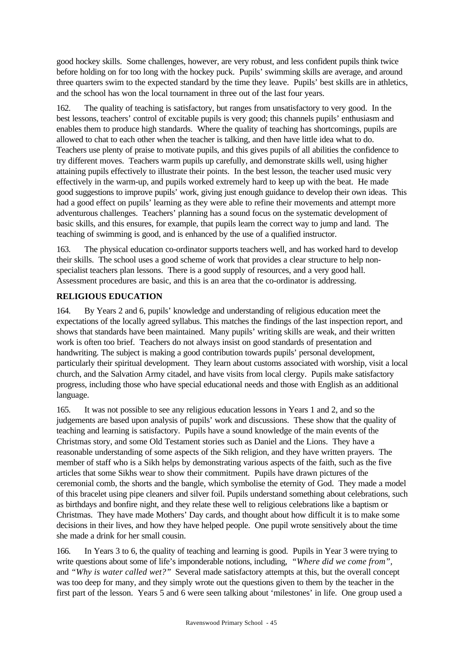good hockey skills. Some challenges, however, are very robust, and less confident pupils think twice before holding on for too long with the hockey puck. Pupils' swimming skills are average, and around three quarters swim to the expected standard by the time they leave. Pupils' best skills are in athletics, and the school has won the local tournament in three out of the last four years.

162. The quality of teaching is satisfactory, but ranges from unsatisfactory to very good. In the best lessons, teachers' control of excitable pupils is very good; this channels pupils' enthusiasm and enables them to produce high standards. Where the quality of teaching has shortcomings, pupils are allowed to chat to each other when the teacher is talking, and then have little idea what to do. Teachers use plenty of praise to motivate pupils, and this gives pupils of all abilities the confidence to try different moves. Teachers warm pupils up carefully, and demonstrate skills well, using higher attaining pupils effectively to illustrate their points. In the best lesson, the teacher used music very effectively in the warm-up, and pupils worked extremely hard to keep up with the beat. He made good suggestions to improve pupils' work, giving just enough guidance to develop their own ideas. This had a good effect on pupils' learning as they were able to refine their movements and attempt more adventurous challenges. Teachers' planning has a sound focus on the systematic development of basic skills, and this ensures, for example, that pupils learn the correct way to jump and land. The teaching of swimming is good, and is enhanced by the use of a qualified instructor.

163. The physical education co-ordinator supports teachers well, and has worked hard to develop their skills. The school uses a good scheme of work that provides a clear structure to help nonspecialist teachers plan lessons. There is a good supply of resources, and a very good hall. Assessment procedures are basic, and this is an area that the co-ordinator is addressing.

# **RELIGIOUS EDUCATION**

164. By Years 2 and 6, pupils' knowledge and understanding of religious education meet the expectations of the locally agreed syllabus. This matches the findings of the last inspection report, and shows that standards have been maintained. Many pupils' writing skills are weak, and their written work is often too brief. Teachers do not always insist on good standards of presentation and handwriting. The subject is making a good contribution towards pupils' personal development, particularly their spiritual development. They learn about customs associated with worship, visit a local church, and the Salvation Army citadel, and have visits from local clergy. Pupils make satisfactory progress, including those who have special educational needs and those with English as an additional language.

165. It was not possible to see any religious education lessons in Years 1 and 2, and so the judgements are based upon analysis of pupils' work and discussions. These show that the quality of teaching and learning is satisfactory. Pupils have a sound knowledge of the main events of the Christmas story, and some Old Testament stories such as Daniel and the Lions. They have a reasonable understanding of some aspects of the Sikh religion, and they have written prayers. The member of staff who is a Sikh helps by demonstrating various aspects of the faith, such as the five articles that some Sikhs wear to show their commitment. Pupils have drawn pictures of the ceremonial comb, the shorts and the bangle, which symbolise the eternity of God. They made a model of this bracelet using pipe cleaners and silver foil. Pupils understand something about celebrations, such as birthdays and bonfire night, and they relate these well to religious celebrations like a baptism or Christmas. They have made Mothers' Day cards, and thought about how difficult it is to make some decisions in their lives, and how they have helped people. One pupil wrote sensitively about the time she made a drink for her small cousin.

166. In Years 3 to 6, the quality of teaching and learning is good. Pupils in Year 3 were trying to write questions about some of life's imponderable notions, including, *"Where did we come from",* and *"Why is water called wet?"* Several made satisfactory attempts at this, but the overall concept was too deep for many, and they simply wrote out the questions given to them by the teacher in the first part of the lesson. Years 5 and 6 were seen talking about 'milestones' in life. One group used a